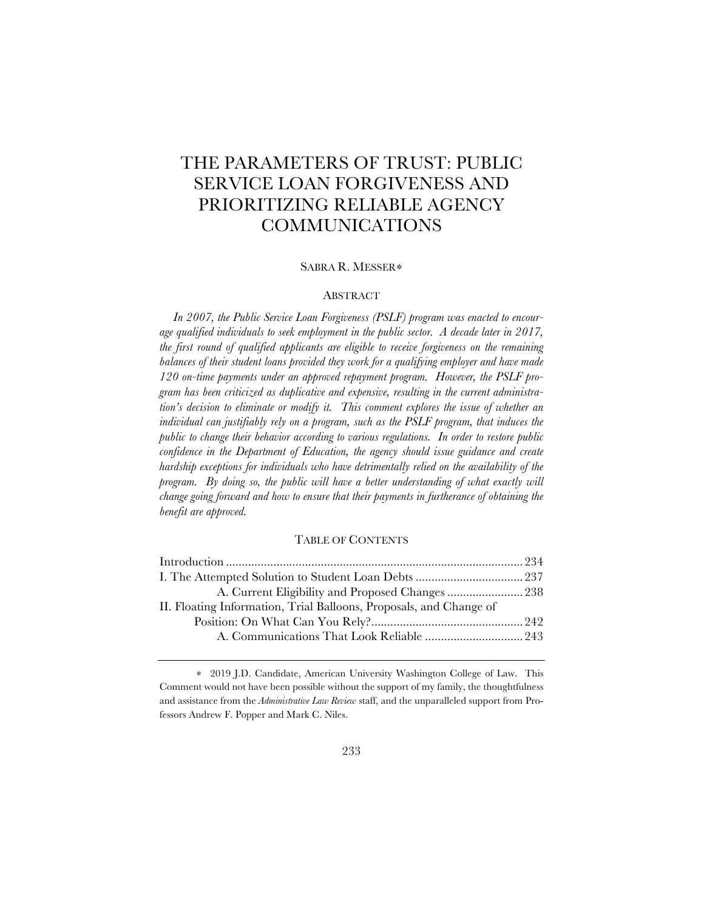# THE PARAMETERS OF TRUST: PUBLIC SERVICE LOAN FORGIVENESS AND PRIORITIZING RELIABLE AGENCY COMMUNICATIONS

## SABRA R. MESSER∗

## ABSTRACT

*In 2007, the Public Service Loan Forgiveness (PSLF) program was enacted to encourage qualified individuals to seek employment in the public sector. A decade later in 2017, the first round of qualified applicants are eligible to receive forgiveness on the remaining balances of their student loans provided they work for a qualifying employer and have made 120 on-time payments under an approved repayment program. However, the PSLF program has been criticized as duplicative and expensive, resulting in the current administration's decision to eliminate or modify it. This comment explores the issue of whether an individual can justifiably rely on a program, such as the PSLF program, that induces the public to change their behavior according to various regulations. In order to restore public*  confidence in the Department of Education, the agency should issue guidance and create *hardship exceptions for individuals who have detrimentally relied on the availability of the program.* By doing so, the public will have a better understanding of what exactly will *change going forward and how to ensure that their payments in furtherance of obtaining the benefit are approved.*

### TABLE OF CONTENTS

| II. Floating Information, Trial Balloons, Proposals, and Change of |  |
|--------------------------------------------------------------------|--|
|                                                                    |  |
|                                                                    |  |
|                                                                    |  |

<sup>∗</sup> 2019 J.D. Candidate, American University Washington College of Law. This Comment would not have been possible without the support of my family, the thoughtfulness and assistance from the *Administrative Law Review* staff, and the unparalleled support from Professors Andrew F. Popper and Mark C. Niles.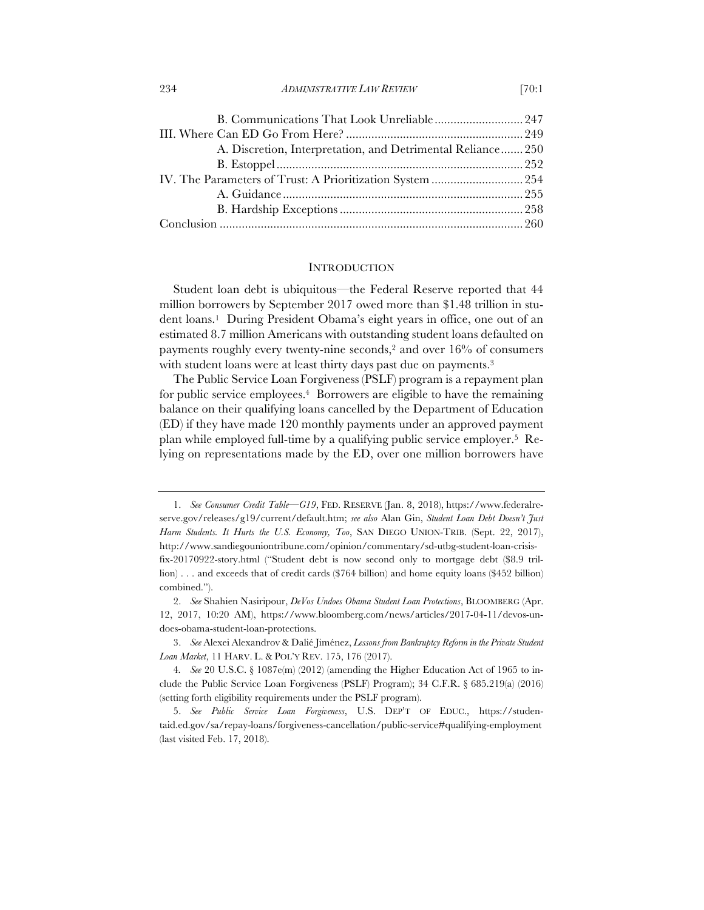| B. Communications That Look Unreliable247                  |  |
|------------------------------------------------------------|--|
|                                                            |  |
| A. Discretion, Interpretation, and Detrimental Reliance250 |  |
|                                                            |  |
|                                                            |  |
|                                                            |  |
|                                                            |  |
|                                                            |  |

#### **INTRODUCTION**

Student loan debt is ubiquitous—the Federal Reserve reported that 44 million borrowers by September 2017 owed more than \$1.48 trillion in student loans.1 During President Obama's eight years in office, one out of an estimated 8.7 million Americans with outstanding student loans defaulted on payments roughly every twenty-nine seconds,2 and over 16% of consumers with student loans were at least thirty days past due on payments.<sup>3</sup>

The Public Service Loan Forgiveness (PSLF) program is a repayment plan for public service employees.4 Borrowers are eligible to have the remaining balance on their qualifying loans cancelled by the Department of Education (ED) if they have made 120 monthly payments under an approved payment plan while employed full-time by a qualifying public service employer.5 Relying on representations made by the ED, over one million borrowers have

<sup>1.</sup> *See Consumer Credit Table––G19*, FED. RESERVE (Jan. 8, 2018), https://www.federalreserve.gov/releases/g19/current/default.htm; *see also* Alan Gin, *Student Loan Debt Doesn't Just Harm Students. It Hurts the U.S. Economy, Too*, SAN DIEGO UNION-TRIB. (Sept. 22, 2017), http://www.sandiegouniontribune.com/opinion/commentary/sd-utbg-student-loan-crisisfix-20170922-story.html ("Student debt is now second only to mortgage debt (\$8.9 trillion) . . . and exceeds that of credit cards (\$764 billion) and home equity loans (\$452 billion) combined.").

<sup>2.</sup> *See* Shahien Nasiripour, *DeVos Undoes Obama Student Loan Protections*, BLOOMBERG (Apr. 12, 2017, 10:20 AM), https://www.bloomberg.com/news/articles/2017-04-11/devos-undoes-obama-student-loan-protections.

<sup>3.</sup> *See* Alexei Alexandrov & Dalié Jiménez, *Lessons from Bankruptcy Reform in the Private Student Loan Market*, 11 HARV. L. & POL'Y REV. 175, 176 (2017).

<sup>4</sup>*. See* 20 U.S.C. § 1087e(m) (2012) (amending the Higher Education Act of 1965 to include the Public Service Loan Forgiveness (PSLF) Program); 34 C.F.R. § 685.219(a) (2016) (setting forth eligibility requirements under the PSLF program).

<sup>5.</sup> *See Public Service Loan Forgiveness*, U.S. DEP'T OF EDUC., https://studentaid.ed.gov/sa/repay-loans/forgiveness-cancellation/public-service#qualifying-employment (last visited Feb. 17, 2018).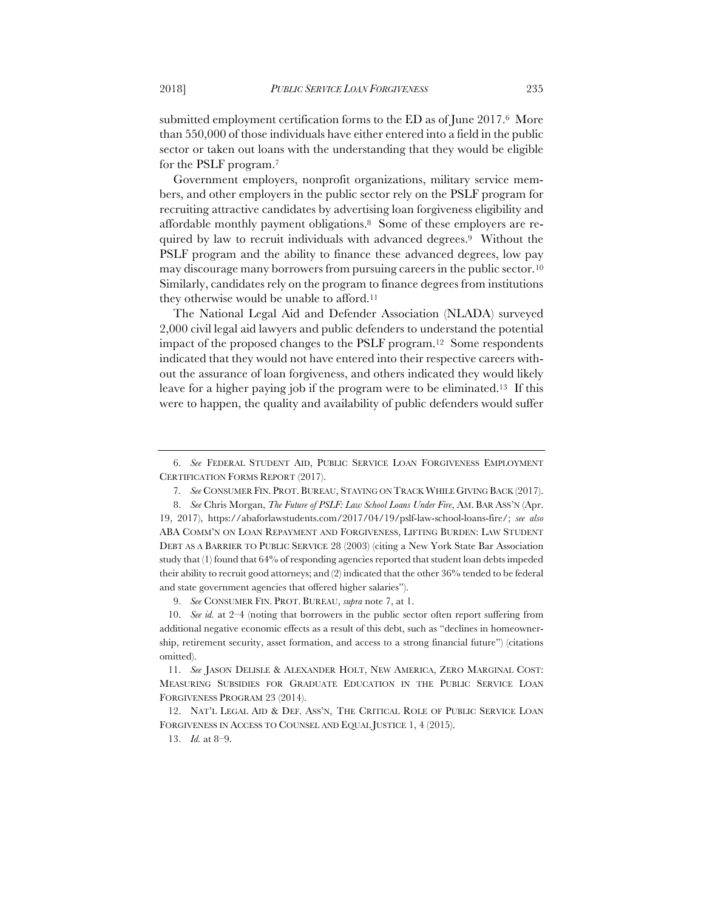submitted employment certification forms to the ED as of June 2017.6 More than 550,000 of those individuals have either entered into a field in the public sector or taken out loans with the understanding that they would be eligible for the PSLF program.7

Government employers, nonprofit organizations, military service members, and other employers in the public sector rely on the PSLF program for recruiting attractive candidates by advertising loan forgiveness eligibility and affordable monthly payment obligations.8 Some of these employers are required by law to recruit individuals with advanced degrees.9 Without the PSLF program and the ability to finance these advanced degrees, low pay may discourage many borrowers from pursuing careers in the public sector.10 Similarly, candidates rely on the program to finance degrees from institutions they otherwise would be unable to afford.11

The National Legal Aid and Defender Association (NLADA) surveyed 2,000 civil legal aid lawyers and public defenders to understand the potential impact of the proposed changes to the PSLF program.12 Some respondents indicated that they would not have entered into their respective careers without the assurance of loan forgiveness, and others indicated they would likely leave for a higher paying job if the program were to be eliminated.13 If this were to happen, the quality and availability of public defenders would suffer

9. *See* CONSUMER FIN. PROT. BUREAU, *supra* note 7, at 1.

<sup>6.</sup> *See* FEDERAL STUDENT AID, PUBLIC SERVICE LOAN FORGIVENESS EMPLOYMENT CERTIFICATION FORMS REPORT (2017).

<sup>7</sup>*. See* CONSUMER FIN. PROT. BUREAU, STAYING ON TRACK WHILE GIVING BACK (2017).

<sup>8.</sup> *See* Chris Morgan, *The Future of PSLF: Law School Loans Under Fire*, AM. BAR ASS'N (Apr. 19, 2017), https://abaforlawstudents.com/2017/04/19/pslf-law-school-loans-fire/; *see also*  ABA COMM'N ON LOAN REPAYMENT AND FORGIVENESS, LIFTING BURDEN: LAW STUDENT DEBT AS A BARRIER TO PUBLIC SERVICE 28 (2003) (citing a New York State Bar Association study that (1) found that 64% of responding agencies reported that student loan debts impeded their ability to recruit good attorneys; and (2) indicated that the other 36% tended to be federal and state government agencies that offered higher salaries").

<sup>10.</sup> *See id.* at 2–4 (noting that borrowers in the public sector often report suffering from additional negative economic effects as a result of this debt, such as "declines in homeownership, retirement security, asset formation, and access to a strong financial future") (citations omitted).

<sup>11.</sup> *See* JASON DELISLE & ALEXANDER HOLT, NEW AMERICA, ZERO MARGINAL COST: MEASURING SUBSIDIES FOR GRADUATE EDUCATION IN THE PUBLIC SERVICE LOAN FORGIVENESS PROGRAM 23 (2014).

<sup>12.</sup> NAT'L LEGAL AID & DEF. ASS'N, THE CRITICAL ROLE OF PUBLIC SERVICE LOAN FORGIVENESS IN ACCESS TO COUNSEL AND EQUAL JUSTICE 1, 4 (2015).

<sup>13.</sup> *Id.* at 8–9.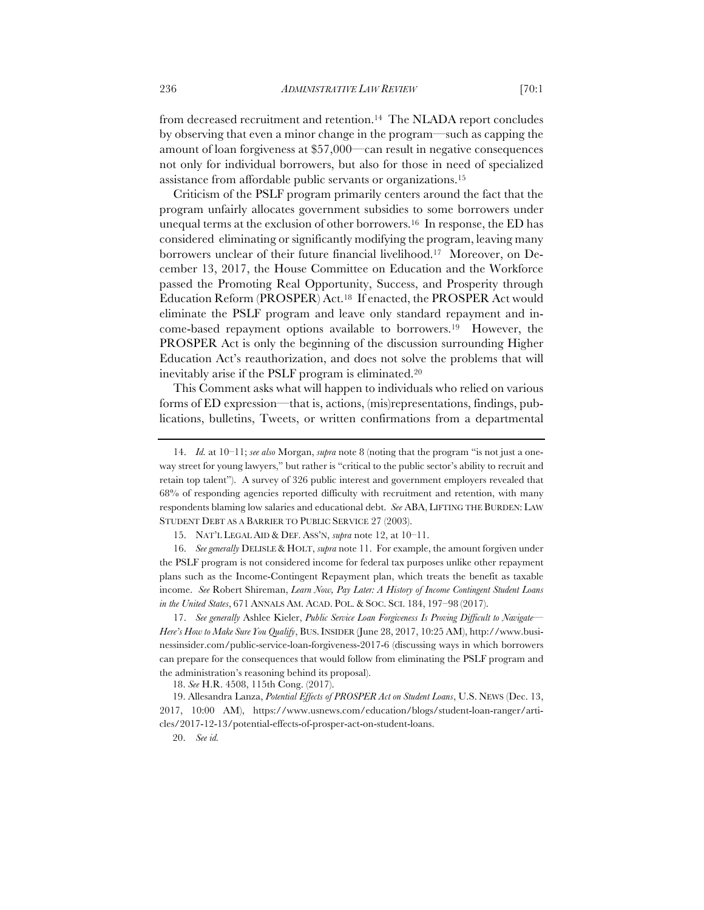from decreased recruitment and retention.<sup>14</sup> The NLADA report concludes by observing that even a minor change in the program—such as capping the amount of loan forgiveness at \$57,000—can result in negative consequences not only for individual borrowers, but also for those in need of specialized assistance from affordable public servants or organizations.15

Criticism of the PSLF program primarily centers around the fact that the program unfairly allocates government subsidies to some borrowers under unequal terms at the exclusion of other borrowers.16 In response, the ED has considered eliminating or significantly modifying the program, leaving many borrowers unclear of their future financial livelihood.17 Moreover, on December 13, 2017, the House Committee on Education and the Workforce passed the Promoting Real Opportunity, Success, and Prosperity through Education Reform (PROSPER) Act.18 If enacted, the PROSPER Act would eliminate the PSLF program and leave only standard repayment and income-based repayment options available to borrowers.19 However, the PROSPER Act is only the beginning of the discussion surrounding Higher Education Act's reauthorization, and does not solve the problems that will inevitably arise if the PSLF program is eliminated.20

This Comment asks what will happen to individuals who relied on various forms of ED expression—that is, actions, (mis)representations, findings, publications, bulletins, Tweets, or written confirmations from a departmental

16. *See generally* DELISLE & HOLT, *supra* note 11. For example, the amount forgiven under the PSLF program is not considered income for federal tax purposes unlike other repayment plans such as the Income-Contingent Repayment plan, which treats the benefit as taxable income. *See* Robert Shireman, *Learn Now, Pay Later: A History of Income Contingent Student Loans in the United States*, 671 ANNALS AM. ACAD. POL. & SOC. SCI. 184, 197–98 (2017).

17. *See generally* Ashlee Kieler, *Public Service Loan Forgiveness Is Proving Difficult to Navigate— Here's How to Make Sure You Qualify*, BUS.INSIDER (June 28, 2017, 10:25 AM), http://www.businessinsider.com/public-service-loan-forgiveness-2017-6 (discussing ways in which borrowers can prepare for the consequences that would follow from eliminating the PSLF program and the administration's reasoning behind its proposal).

18. *See* H.R. 4508, 115th Cong. (2017).

 19. Allesandra Lanza, *Potential Effects of PROSPER Act on Student Loans*, U.S. NEWS (Dec. 13, 2017, 10:00 AM), https://www.usnews.com/education/blogs/student-loan-ranger/articles/2017-12-13/potential-effects-of-prosper-act-on-student-loans.

<sup>14.</sup> *Id.* at 10–11; *see also* Morgan, *supra* note 8 (noting that the program "is not just a oneway street for young lawyers," but rather is "critical to the public sector's ability to recruit and retain top talent"). A survey of 326 public interest and government employers revealed that 68% of responding agencies reported difficulty with recruitment and retention, with many respondents blaming low salaries and educational debt. *See* ABA, LIFTING THE BURDEN: LAW STUDENT DEBT AS A BARRIER TO PUBLIC SERVICE 27 (2003).

<sup>15.</sup> NAT'L LEGAL AID & DEF. ASS'N, *supra* note 12, at 10–11.

 <sup>20.</sup> *See id.*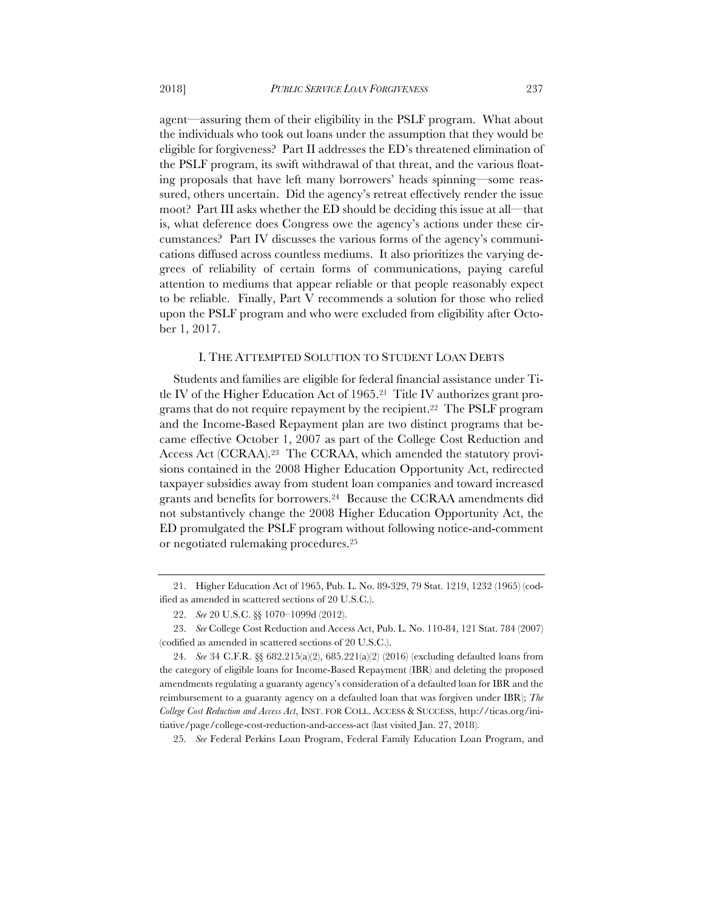agent—assuring them of their eligibility in the PSLF program. What about the individuals who took out loans under the assumption that they would be eligible for forgiveness? Part II addresses the ED's threatened elimination of the PSLF program, its swift withdrawal of that threat, and the various floating proposals that have left many borrowers' heads spinning—some reassured, others uncertain. Did the agency's retreat effectively render the issue moot? Part III asks whether the ED should be deciding this issue at all—that is, what deference does Congress owe the agency's actions under these circumstances? Part IV discusses the various forms of the agency's communications diffused across countless mediums. It also prioritizes the varying degrees of reliability of certain forms of communications, paying careful attention to mediums that appear reliable or that people reasonably expect to be reliable. Finally, Part V recommends a solution for those who relied upon the PSLF program and who were excluded from eligibility after October 1, 2017.

#### I. THE ATTEMPTED SOLUTION TO STUDENT LOAN DEBTS

Students and families are eligible for federal financial assistance under Title IV of the Higher Education Act of 1965.21 Title IV authorizes grant programs that do not require repayment by the recipient.22 The PSLF program and the Income-Based Repayment plan are two distinct programs that became effective October 1, 2007 as part of the College Cost Reduction and Access Act (CCRAA).23 The CCRAA, which amended the statutory provisions contained in the 2008 Higher Education Opportunity Act, redirected taxpayer subsidies away from student loan companies and toward increased grants and benefits for borrowers.24 Because the CCRAA amendments did not substantively change the 2008 Higher Education Opportunity Act, the ED promulgated the PSLF program without following notice-and-comment or negotiated rulemaking procedures.25

<sup>21.</sup> Higher Education Act of 1965, Pub. L. No. 89-329, 79 Stat. 1219, 1232 (1965) (codified as amended in scattered sections of 20 U.S.C.).

<sup>22.</sup> *See* 20 U.S.C. §§ 1070–1099d (2012).

<sup>23.</sup> *See* College Cost Reduction and Access Act, Pub. L. No. 110-84, 121 Stat. 784 (2007) (codified as amended in scattered sections of 20 U.S.C.).

<sup>24.</sup> *See* 34 C.F.R. §§ 682.215(a)(2), 685.221(a)(2) (2016) (excluding defaulted loans from the category of eligible loans for Income-Based Repayment (IBR) and deleting the proposed amendments regulating a guaranty agency's consideration of a defaulted loan for IBR and the reimbursement to a guaranty agency on a defaulted loan that was forgiven under IBR); *The College Cost Reduction and Access Act*, INST. FOR COLL. ACCESS & SUCCESS, http://ticas.org/initiative/page/college-cost-reduction-and-access-act (last visited Jan. 27, 2018).

<sup>25.</sup> *See* Federal Perkins Loan Program, Federal Family Education Loan Program, and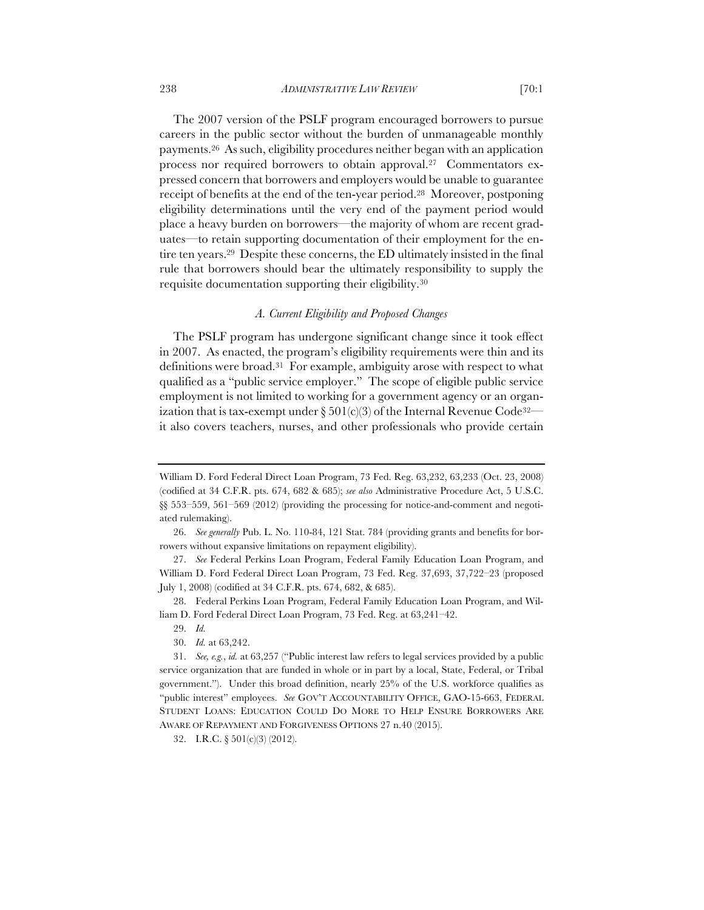The 2007 version of the PSLF program encouraged borrowers to pursue careers in the public sector without the burden of unmanageable monthly payments.26 As such, eligibility procedures neither began with an application process nor required borrowers to obtain approval.27 Commentators expressed concern that borrowers and employers would be unable to guarantee receipt of benefits at the end of the ten-year period.28 Moreover, postponing eligibility determinations until the very end of the payment period would place a heavy burden on borrowers—the majority of whom are recent graduates—to retain supporting documentation of their employment for the entire ten years.29 Despite these concerns, the ED ultimately insisted in the final rule that borrowers should bear the ultimately responsibility to supply the requisite documentation supporting their eligibility.30

## *A. Current Eligibility and Proposed Changes*

The PSLF program has undergone significant change since it took effect in 2007. As enacted, the program's eligibility requirements were thin and its definitions were broad.31 For example, ambiguity arose with respect to what qualified as a "public service employer." The scope of eligible public service employment is not limited to working for a government agency or an organization that is tax-exempt under  $\S 501(c)/3$  of the Internal Revenue Code<sup>32</sup> it also covers teachers, nurses, and other professionals who provide certain

32. I.R.C. § 501(c)(3) (2012).

William D. Ford Federal Direct Loan Program, 73 Fed. Reg. 63,232, 63,233 (Oct. 23, 2008) (codified at 34 C.F.R. pts. 674, 682 & 685); *see also* Administrative Procedure Act, 5 U.S.C. §§ 553–559, 561–569 (2012) (providing the processing for notice-and-comment and negotiated rulemaking).

<sup>26.</sup> *See generally* Pub. L. No. 110-84, 121 Stat. 784 (providing grants and benefits for borrowers without expansive limitations on repayment eligibility).

<sup>27.</sup> *See* Federal Perkins Loan Program, Federal Family Education Loan Program, and William D. Ford Federal Direct Loan Program, 73 Fed. Reg. 37,693, 37,722–23 (proposed July 1, 2008) (codified at 34 C.F.R. pts. 674, 682, & 685).

<sup>28.</sup> Federal Perkins Loan Program, Federal Family Education Loan Program, and William D. Ford Federal Direct Loan Program, 73 Fed. Reg. at 63,241–42.

<sup>29.</sup> *Id.*

<sup>30.</sup> *Id.* at 63,242.

<sup>31.</sup> *See, e.g.*, *id.* at 63,257 ("Public interest law refers to legal services provided by a public service organization that are funded in whole or in part by a local, State, Federal, or Tribal government."). Under this broad definition, nearly 25% of the U.S. workforce qualifies as "public interest" employees. *See* GOV'T ACCOUNTABILITY OFFICE, GAO-15-663, FEDERAL STUDENT LOANS: EDUCATION COULD DO MORE TO HELP ENSURE BORROWERS ARE AWARE OF REPAYMENT AND FORGIVENESS OPTIONS 27 n.40 (2015).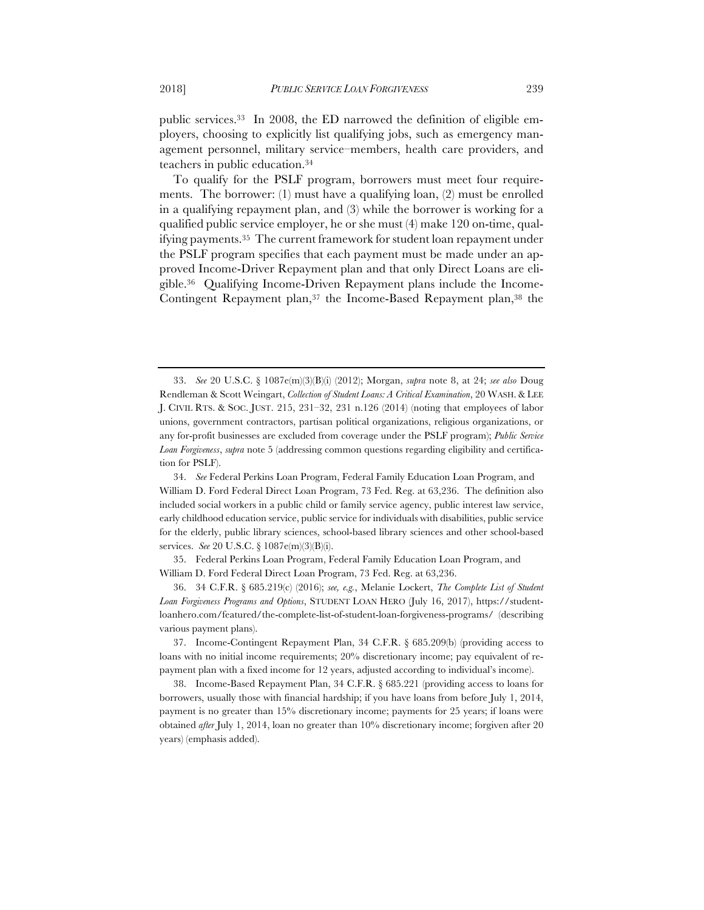public services.33 In 2008, the ED narrowed the definition of eligible employers, choosing to explicitly list qualifying jobs, such as emergency management personnel, military service–members, health care providers, and teachers in public education.34

To qualify for the PSLF program, borrowers must meet four requirements. The borrower: (1) must have a qualifying loan, (2) must be enrolled in a qualifying repayment plan, and (3) while the borrower is working for a qualified public service employer, he or she must (4) make 120 on-time, qualifying payments.35 The current framework for student loan repayment under the PSLF program specifies that each payment must be made under an approved Income-Driver Repayment plan and that only Direct Loans are eligible.36 Qualifying Income-Driven Repayment plans include the Income-Contingent Repayment plan,37 the Income-Based Repayment plan,38 the

35. Federal Perkins Loan Program, Federal Family Education Loan Program, and William D. Ford Federal Direct Loan Program, 73 Fed. Reg. at 63,236.

36. 34 C.F.R. § 685.219(c) (2016); *see, e.g.*, Melanie Lockert, *The Complete List of Student Loan Forgiveness Programs and Options*, STUDENT LOAN HERO (July 16, 2017), https://studentloanhero.com/featured/the-complete-list-of-student-loan-forgiveness-programs/ (describing various payment plans).

37. Income-Contingent Repayment Plan, 34 C.F.R. § 685.209(b) (providing access to loans with no initial income requirements; 20% discretionary income; pay equivalent of repayment plan with a fixed income for 12 years, adjusted according to individual's income).

38. Income-Based Repayment Plan, 34 C.F.R. § 685.221 (providing access to loans for borrowers, usually those with financial hardship; if you have loans from before July 1, 2014, payment is no greater than 15% discretionary income; payments for 25 years; if loans were obtained *after* July 1, 2014, loan no greater than 10% discretionary income; forgiven after 20 years) (emphasis added).

<sup>33.</sup> *See* 20 U.S.C. § 1087e(m)(3)(B)(i) (2012); Morgan, *supra* note 8, at 24; *see also* Doug Rendleman & Scott Weingart, *Collection of Student Loans: A Critical Examination*, 20 WASH. & LEE J. CIVIL RTS. & SOC. JUST. 215, 231–32, 231 n.126 (2014) (noting that employees of labor unions, government contractors, partisan political organizations, religious organizations, or any for-profit businesses are excluded from coverage under the PSLF program); *Public Service Loan Forgiveness*, *supra* note 5 (addressing common questions regarding eligibility and certification for PSLF).

<sup>34.</sup> *See* Federal Perkins Loan Program, Federal Family Education Loan Program, and William D. Ford Federal Direct Loan Program, 73 Fed. Reg. at 63,236. The definition also included social workers in a public child or family service agency, public interest law service, early childhood education service, public service for individuals with disabilities, public service for the elderly, public library sciences, school-based library sciences and other school-based services. *See* 20 U.S.C. § 1087e(m)(3)(B)(i).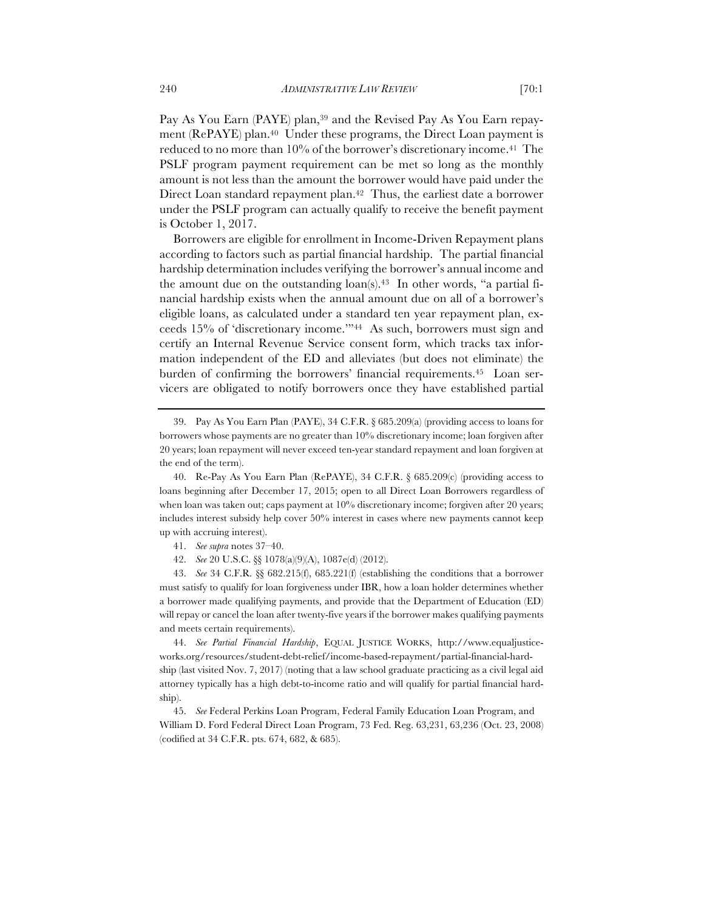Pay As You Earn (PAYE) plan,<sup>39</sup> and the Revised Pay As You Earn repayment (RePAYE) plan.<sup>40</sup> Under these programs, the Direct Loan payment is reduced to no more than 10% of the borrower's discretionary income.41 The PSLF program payment requirement can be met so long as the monthly amount is not less than the amount the borrower would have paid under the Direct Loan standard repayment plan.<sup>42</sup> Thus, the earliest date a borrower under the PSLF program can actually qualify to receive the benefit payment is October 1, 2017.

Borrowers are eligible for enrollment in Income-Driven Repayment plans according to factors such as partial financial hardship. The partial financial hardship determination includes verifying the borrower's annual income and the amount due on the outstanding  $\text{loan}(s)$ .<sup>43</sup> In other words, "a partial financial hardship exists when the annual amount due on all of a borrower's eligible loans, as calculated under a standard ten year repayment plan, exceeds 15% of 'discretionary income.'"44 As such, borrowers must sign and certify an Internal Revenue Service consent form, which tracks tax information independent of the ED and alleviates (but does not eliminate) the burden of confirming the borrowers' financial requirements.45 Loan servicers are obligated to notify borrowers once they have established partial

- 41. *See supra* notes 37–40.
- 42. *See* 20 U.S.C. §§ 1078(a)(9)(A), 1087e(d) (2012).

43. *See* 34 C.F.R*.* §§ 682.215(f), 685.221(f) (establishing the conditions that a borrower must satisfy to qualify for loan forgiveness under IBR, how a loan holder determines whether a borrower made qualifying payments, and provide that the Department of Education (ED) will repay or cancel the loan after twenty-five years if the borrower makes qualifying payments and meets certain requirements).

44. *See Partial Financial Hardship*, EQUAL JUSTICE WORKS, http://www.equaljusticeworks.org/resources/student-debt-relief/income-based-repayment/partial-financial-hardship (last visited Nov. 7, 2017) (noting that a law school graduate practicing as a civil legal aid attorney typically has a high debt-to-income ratio and will qualify for partial financial hardship).

45. *See* Federal Perkins Loan Program, Federal Family Education Loan Program, and William D. Ford Federal Direct Loan Program, 73 Fed. Reg. 63,231, 63,236 (Oct. 23, 2008) (codified at 34 C.F.R. pts. 674, 682, & 685).

<sup>39.</sup> Pay As You Earn Plan (PAYE), 34 C.F.R. § 685.209(a) (providing access to loans for borrowers whose payments are no greater than 10% discretionary income; loan forgiven after 20 years; loan repayment will never exceed ten-year standard repayment and loan forgiven at the end of the term).

<sup>40.</sup> Re-Pay As You Earn Plan (RePAYE), 34 C.F.R. § 685.209(c) (providing access to loans beginning after December 17, 2015; open to all Direct Loan Borrowers regardless of when loan was taken out; caps payment at 10% discretionary income; forgiven after 20 years; includes interest subsidy help cover 50% interest in cases where new payments cannot keep up with accruing interest).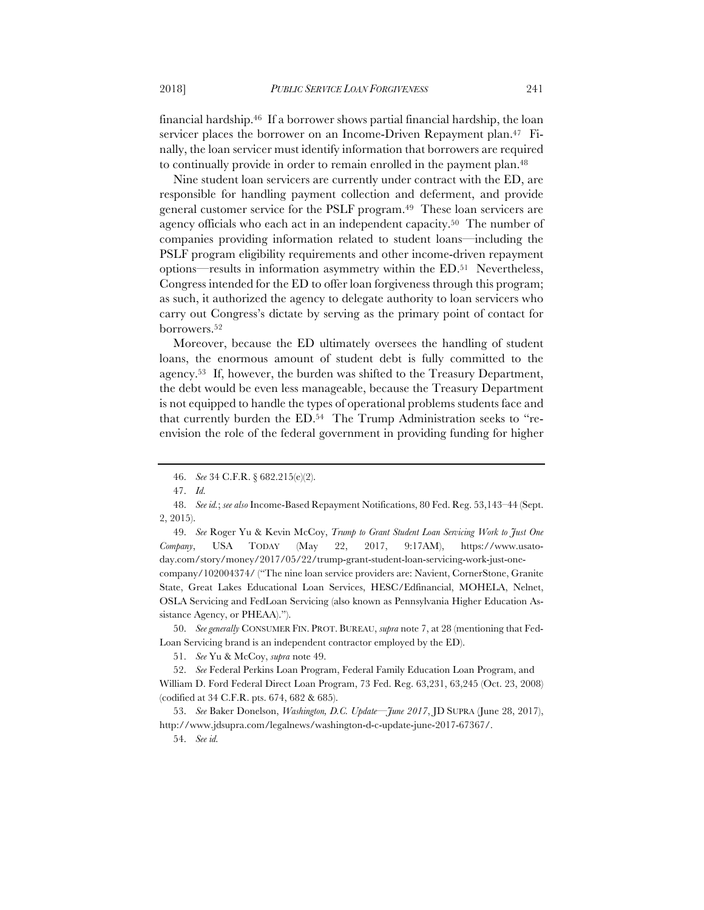financial hardship.46 If a borrower shows partial financial hardship, the loan servicer places the borrower on an Income-Driven Repayment plan.<sup>47</sup> Finally, the loan servicer must identify information that borrowers are required to continually provide in order to remain enrolled in the payment plan.<sup>48</sup>

Nine student loan servicers are currently under contract with the ED, are responsible for handling payment collection and deferment, and provide general customer service for the PSLF program.49 These loan servicers are agency officials who each act in an independent capacity.50 The number of companies providing information related to student loans—including the PSLF program eligibility requirements and other income-driven repayment options—results in information asymmetry within the ED.51 Nevertheless, Congress intended for the ED to offer loan forgiveness through this program; as such, it authorized the agency to delegate authority to loan servicers who carry out Congress's dictate by serving as the primary point of contact for borrowers.52

Moreover, because the ED ultimately oversees the handling of student loans, the enormous amount of student debt is fully committed to the agency.53 If, however, the burden was shifted to the Treasury Department, the debt would be even less manageable, because the Treasury Department is not equipped to handle the types of operational problems students face and that currently burden the ED.54 The Trump Administration seeks to "reenvision the role of the federal government in providing funding for higher

49. *See* Roger Yu & Kevin McCoy, *Trump to Grant Student Loan Servicing Work to Just One Company*, USA TODAY (May 22, 2017, 9:17AM), https://www.usatoday.com/story/money/2017/05/22/trump-grant-student-loan-servicing-work-just-onecompany/102004374/ ("The nine loan service providers are: Navient, CornerStone, Granite State, Great Lakes Educational Loan Services, HESC/Edfinancial, MOHELA, Nelnet, OSLA Servicing and FedLoan Servicing (also known as Pennsylvania Higher Education Assistance Agency, or PHEAA).").

50. *See generally* CONSUMER FIN. PROT. BUREAU, *supra* note 7, at 28 (mentioning that Fed-Loan Servicing brand is an independent contractor employed by the ED).

51. *See* Yu & McCoy, *supra* note 49.

52. *See* Federal Perkins Loan Program, Federal Family Education Loan Program, and William D. Ford Federal Direct Loan Program, 73 Fed. Reg. 63,231, 63,245 (Oct. 23, 2008) (codified at 34 C.F.R. pts. 674, 682 & 685).

53. *See* Baker Donelson, *Washington, D.C. Update—June 2017*, JD SUPRA (June 28, 2017), http://www.jdsupra.com/legalnews/washington-d-c-update-june-2017-67367/.

54. *See id.*

<sup>46.</sup> *See* 34 C.F.R. § 682.215(e)(2).

<sup>47.</sup> *Id.*

<sup>48.</sup> *See id.*; *see also* Income-Based Repayment Notifications, 80 Fed. Reg. 53,143–44 (Sept. 2, 2015).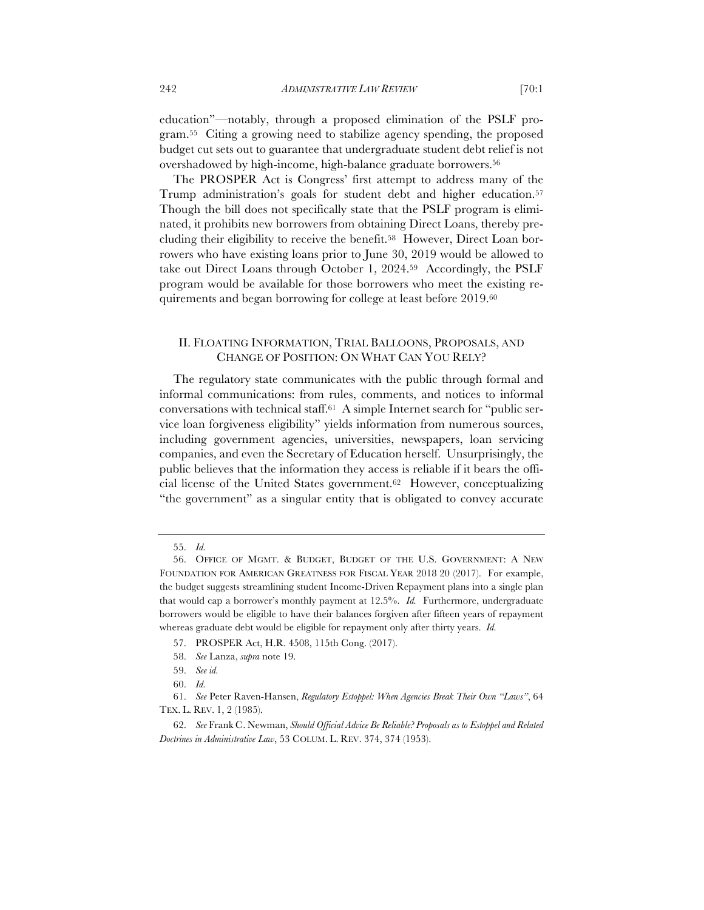education"—notably, through a proposed elimination of the PSLF program.55 Citing a growing need to stabilize agency spending, the proposed budget cut sets out to guarantee that undergraduate student debt relief is not overshadowed by high-income, high-balance graduate borrowers.<sup>56</sup>

The PROSPER Act is Congress' first attempt to address many of the Trump administration's goals for student debt and higher education.<sup>57</sup> Though the bill does not specifically state that the PSLF program is eliminated, it prohibits new borrowers from obtaining Direct Loans, thereby precluding their eligibility to receive the benefit.58 However, Direct Loan borrowers who have existing loans prior to June 30, 2019 would be allowed to take out Direct Loans through October 1, 2024.59 Accordingly, the PSLF program would be available for those borrowers who meet the existing requirements and began borrowing for college at least before 2019.60

# II. FLOATING INFORMATION, TRIAL BALLOONS, PROPOSALS, AND CHANGE OF POSITION: ON WHAT CAN YOU RELY?

The regulatory state communicates with the public through formal and informal communications: from rules, comments, and notices to informal conversations with technical staff.61 A simple Internet search for "public service loan forgiveness eligibility" yields information from numerous sources, including government agencies, universities, newspapers, loan servicing companies, and even the Secretary of Education herself. Unsurprisingly, the public believes that the information they access is reliable if it bears the official license of the United States government.62 However, conceptualizing "the government" as a singular entity that is obligated to convey accurate

<sup>55.</sup> *Id.*

<sup>56.</sup> OFFICE OF MGMT. & BUDGET, BUDGET OF THE U.S. GOVERNMENT: A NEW FOUNDATION FOR AMERICAN GREATNESS FOR FISCAL YEAR 2018 20 (2017). For example, the budget suggests streamlining student Income-Driven Repayment plans into a single plan that would cap a borrower's monthly payment at 12.5%. *Id.* Furthermore, undergraduate borrowers would be eligible to have their balances forgiven after fifteen years of repayment whereas graduate debt would be eligible for repayment only after thirty years. *Id.*

<sup>57.</sup> PROSPER Act, H.R. 4508, 115th Cong. (2017).

<sup>58.</sup> *See* Lanza, *supra* note 19.

<sup>59.</sup> *See id.*

<sup>60.</sup> *Id.*

<sup>61.</sup> *See* Peter Raven-Hansen, *Regulatory Estoppel: When Agencies Break Their Own "Laws"*, 64 TEX. L. REV. 1, 2 (1985).

<sup>62.</sup> *See* Frank C. Newman, *Should Official Advice Be Reliable? Proposals as to Estoppel and Related Doctrines in Administrative Law*, 53 COLUM. L. REV. 374, 374 (1953).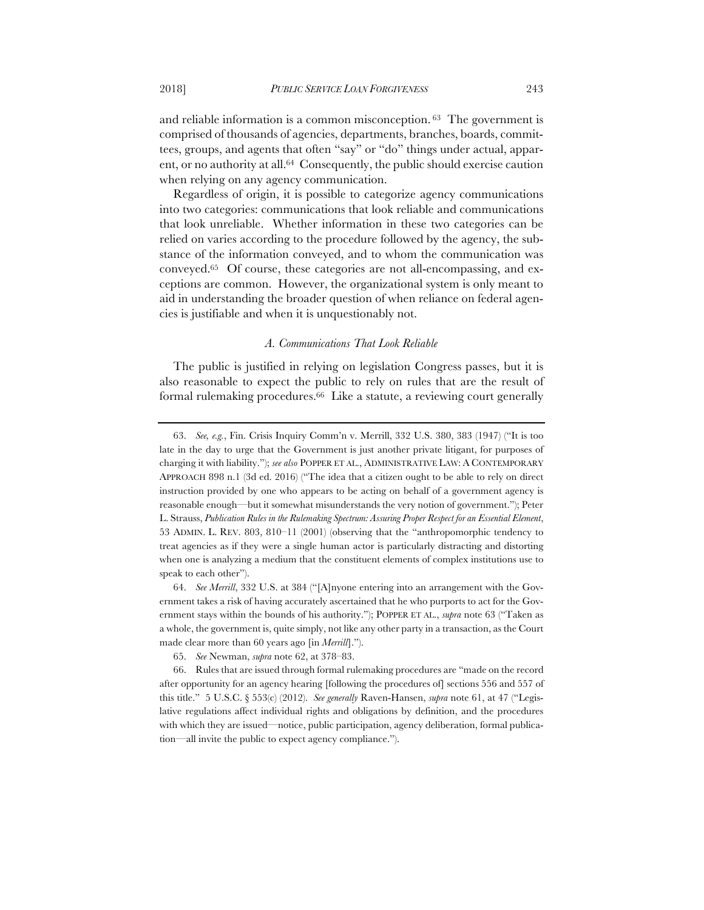and reliable information is a common misconception. 63 The government is comprised of thousands of agencies, departments, branches, boards, committees, groups, and agents that often "say" or "do" things under actual, apparent, or no authority at all.<sup>64</sup> Consequently, the public should exercise caution when relying on any agency communication.

Regardless of origin, it is possible to categorize agency communications into two categories: communications that look reliable and communications that look unreliable. Whether information in these two categories can be relied on varies according to the procedure followed by the agency, the substance of the information conveyed, and to whom the communication was conveyed.65 Of course, these categories are not all-encompassing, and exceptions are common. However, the organizational system is only meant to aid in understanding the broader question of when reliance on federal agencies is justifiable and when it is unquestionably not.

# *A. Communications That Look Reliable*

The public is justified in relying on legislation Congress passes, but it is also reasonable to expect the public to rely on rules that are the result of formal rulemaking procedures.66 Like a statute, a reviewing court generally

<sup>63.</sup> *See, e.g.*, Fin. Crisis Inquiry Comm'n v. Merrill, 332 U.S. 380, 383 (1947) ("It is too late in the day to urge that the Government is just another private litigant, for purposes of charging it with liability."); *see also* POPPER ET AL., ADMINISTRATIVE LAW: A CONTEMPORARY APPROACH 898 n.1 (3d ed. 2016) ("The idea that a citizen ought to be able to rely on direct instruction provided by one who appears to be acting on behalf of a government agency is reasonable enough—but it somewhat misunderstands the very notion of government."); Peter L. Strauss, *Publication Rules in the Rulemaking Spectrum: Assuring Proper Respect for an Essential Element*, 53 ADMIN. L. REV. 803, 810–11 (2001) (observing that the "anthropomorphic tendency to treat agencies as if they were a single human actor is particularly distracting and distorting when one is analyzing a medium that the constituent elements of complex institutions use to speak to each other").

<sup>64.</sup> *See Merrill*, 332 U.S. at 384 ("[A]nyone entering into an arrangement with the Government takes a risk of having accurately ascertained that he who purports to act for the Government stays within the bounds of his authority."); POPPER ET AL., *supra* note 63 ("Taken as a whole, the government is, quite simply, not like any other party in a transaction, as the Court made clear more than 60 years ago [in *Merrill*].").

<sup>65.</sup> *See* Newman, *supra* note 62, at 378–83.

<sup>66.</sup> Rules that are issued through formal rulemaking procedures are "made on the record after opportunity for an agency hearing [following the procedures of] sections 556 and 557 of this title." 5 U.S.C. § 553(c) (2012). *See generally* Raven-Hansen, *supra* note 61, at 47 ("Legislative regulations affect individual rights and obligations by definition, and the procedures with which they are issued—notice, public participation, agency deliberation, formal publication—all invite the public to expect agency compliance.").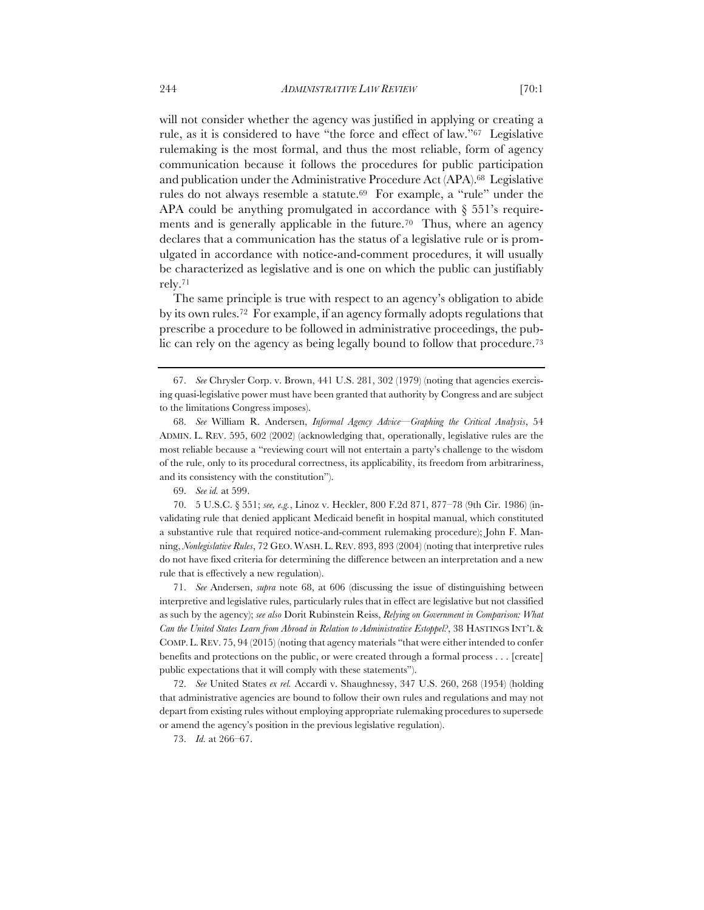will not consider whether the agency was justified in applying or creating a rule, as it is considered to have "the force and effect of law."67 Legislative rulemaking is the most formal, and thus the most reliable, form of agency communication because it follows the procedures for public participation and publication under the Administrative Procedure Act (APA).68 Legislative rules do not always resemble a statute.<sup>69</sup> For example, a "rule" under the APA could be anything promulgated in accordance with § 551's requirements and is generally applicable in the future.<sup>70</sup> Thus, where an agency declares that a communication has the status of a legislative rule or is promulgated in accordance with notice-and-comment procedures, it will usually be characterized as legislative and is one on which the public can justifiably rely.71

The same principle is true with respect to an agency's obligation to abide by its own rules.72 For example, if an agency formally adopts regulations that prescribe a procedure to be followed in administrative proceedings, the public can rely on the agency as being legally bound to follow that procedure.<sup>73</sup>

71. *See* Andersen, *supra* note 68, at 606 (discussing the issue of distinguishing between interpretive and legislative rules, particularly rules that in effect are legislative but not classified as such by the agency); *see also* Dorit Rubinstein Reiss, *Relying on Government in Comparison: What Can the United States Learn from Abroad in Relation to Administrative Estoppel?*, 38 HASTINGS INT'L & COMP. L. REV. 75, 94 (2015) (noting that agency materials "that were either intended to confer benefits and protections on the public, or were created through a formal process . . . [create] public expectations that it will comply with these statements").

72. *See* United States *ex rel.* Accardi v. Shaughnessy, 347 U.S. 260, 268 (1954) (holding that administrative agencies are bound to follow their own rules and regulations and may not depart from existing rules without employing appropriate rulemaking procedures to supersede or amend the agency's position in the previous legislative regulation).

73. *Id.* at 266–67.

<sup>67.</sup> *See* Chrysler Corp. v. Brown, 441 U.S. 281, 302 (1979) (noting that agencies exercising quasi-legislative power must have been granted that authority by Congress and are subject to the limitations Congress imposes).

<sup>68.</sup> *See* William R. Andersen, *Informal Agency Advice—Graphing the Critical Analysis*, 54 ADMIN. L. REV. 595, 602 (2002) (acknowledging that, operationally, legislative rules are the most reliable because a "reviewing court will not entertain a party's challenge to the wisdom of the rule, only to its procedural correctness, its applicability, its freedom from arbitrariness, and its consistency with the constitution").

<sup>69.</sup> *See id.* at 599.

<sup>70.</sup> 5 U.S.C. § 551; *see, e.g.*, Linoz v. Heckler, 800 F.2d 871, 877–78 (9th Cir. 1986) (invalidating rule that denied applicant Medicaid benefit in hospital manual, which constituted a substantive rule that required notice-and-comment rulemaking procedure); John F. Manning, *Nonlegislative Rules*, 72 GEO. WASH. L. REV. 893, 893 (2004) (noting that interpretive rules do not have fixed criteria for determining the difference between an interpretation and a new rule that is effectively a new regulation).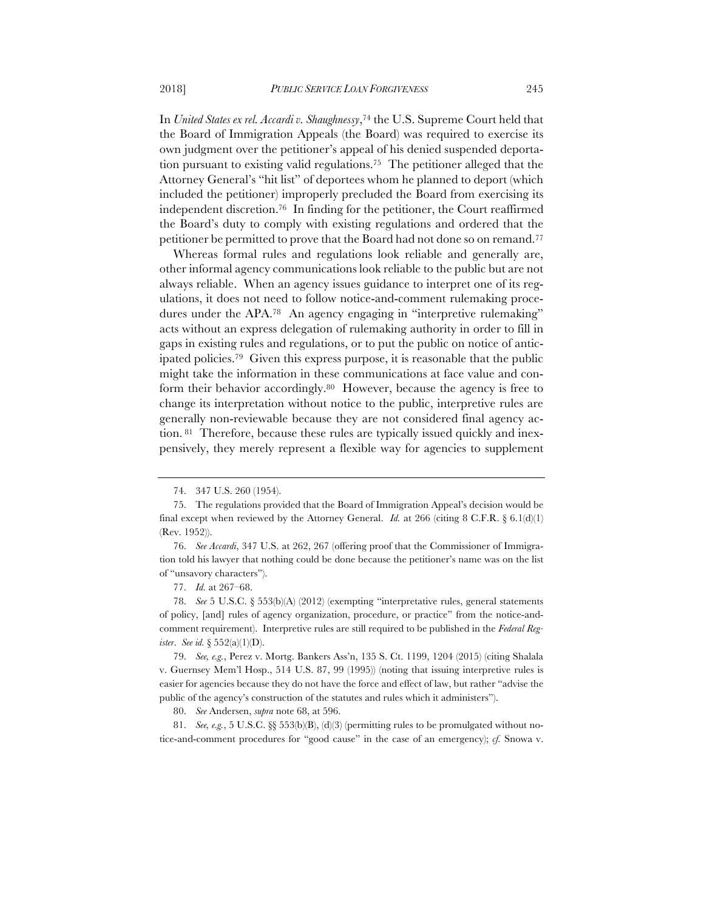In *United States ex rel. Accardi v. Shaughnessy*,74 the U.S. Supreme Court held that the Board of Immigration Appeals (the Board) was required to exercise its own judgment over the petitioner's appeal of his denied suspended deportation pursuant to existing valid regulations.75 The petitioner alleged that the Attorney General's "hit list" of deportees whom he planned to deport (which included the petitioner) improperly precluded the Board from exercising its independent discretion.76 In finding for the petitioner, the Court reaffirmed the Board's duty to comply with existing regulations and ordered that the petitioner be permitted to prove that the Board had not done so on remand.77

Whereas formal rules and regulations look reliable and generally are, other informal agency communications look reliable to the public but are not always reliable. When an agency issues guidance to interpret one of its regulations, it does not need to follow notice-and-comment rulemaking procedures under the APA.<sup>78</sup> An agency engaging in "interpretive rulemaking" acts without an express delegation of rulemaking authority in order to fill in gaps in existing rules and regulations, or to put the public on notice of anticipated policies.79 Given this express purpose, it is reasonable that the public might take the information in these communications at face value and conform their behavior accordingly.80 However, because the agency is free to change its interpretation without notice to the public, interpretive rules are generally non-reviewable because they are not considered final agency action. 81 Therefore, because these rules are typically issued quickly and inexpensively, they merely represent a flexible way for agencies to supplement

77. *Id.* at 267–68.

80. *See* Andersen, *supra* note 68, at 596.

81. *See, e.g.*, 5 U.S.C.  $\&$  553(b)(B), (d)(3) (permitting rules to be promulgated without notice-and-comment procedures for "good cause" in the case of an emergency); *cf.* Snowa v.

<sup>74.</sup> 347 U.S. 260 (1954).

<sup>75.</sup> The regulations provided that the Board of Immigration Appeal's decision would be final except when reviewed by the Attorney General. *Id.* at 266 (citing 8 C.F.R.  $\S 6.1(d)(1)$ (Rev. 1952)).

<sup>76.</sup> *See Accardi*, 347 U.S. at 262, 267 (offering proof that the Commissioner of Immigration told his lawyer that nothing could be done because the petitioner's name was on the list of "unsavory characters").

<sup>78.</sup> *See* 5 U.S.C. § 553(b)(A) (2012) (exempting "interpretative rules, general statements of policy, [and] rules of agency organization, procedure, or practice" from the notice-andcomment requirement). Interpretive rules are still required to be published in the *Federal Register*. *See id.* § 552(a)(1)(D).

<sup>79.</sup> *See, e.g.*, Perez v. Mortg. Bankers Ass'n, 135 S. Ct. 1199, 1204 (2015) (citing Shalala v. Guernsey Mem'l Hosp., 514 U.S. 87, 99 (1995)) (noting that issuing interpretive rules is easier for agencies because they do not have the force and effect of law, but rather "advise the public of the agency's construction of the statutes and rules which it administers").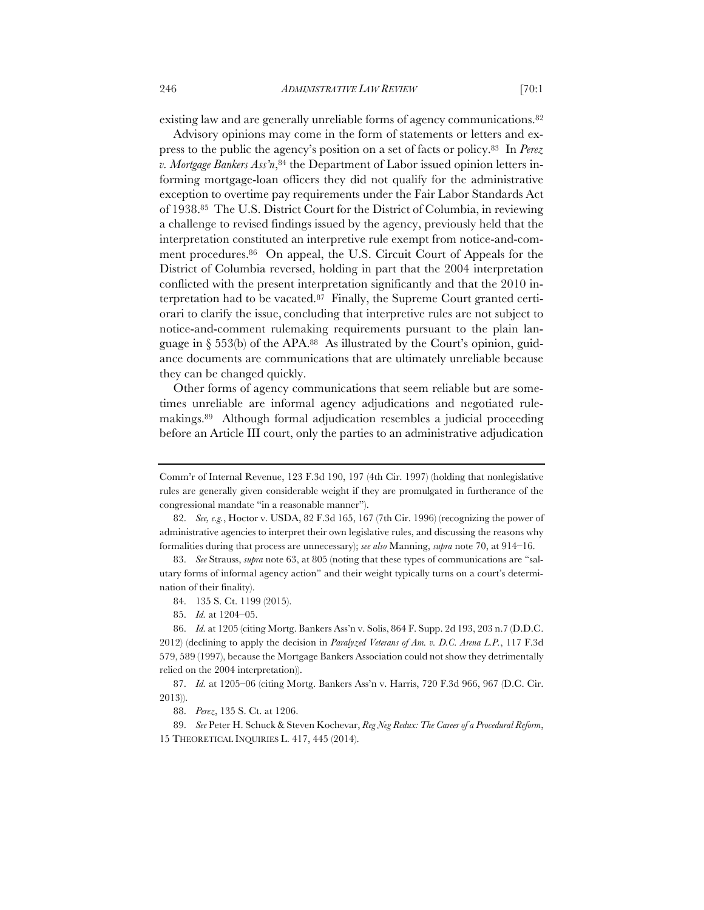existing law and are generally unreliable forms of agency communications.<sup>82</sup>

Advisory opinions may come in the form of statements or letters and express to the public the agency's position on a set of facts or policy.83 In *Perez v. Mortgage Bankers Ass'n*,84 the Department of Labor issued opinion letters informing mortgage-loan officers they did not qualify for the administrative exception to overtime pay requirements under the Fair Labor Standards Act of 1938.85 The U.S. District Court for the District of Columbia, in reviewing a challenge to revised findings issued by the agency, previously held that the interpretation constituted an interpretive rule exempt from notice-and-comment procedures.86 On appeal, the U.S. Circuit Court of Appeals for the District of Columbia reversed, holding in part that the 2004 interpretation conflicted with the present interpretation significantly and that the 2010 interpretation had to be vacated.<sup>87</sup> Finally, the Supreme Court granted certiorari to clarify the issue, concluding that interpretive rules are not subject to notice-and-comment rulemaking requirements pursuant to the plain language in  $\S 553(b)$  of the APA.<sup>88</sup> As illustrated by the Court's opinion, guidance documents are communications that are ultimately unreliable because they can be changed quickly.

Other forms of agency communications that seem reliable but are sometimes unreliable are informal agency adjudications and negotiated rulemakings.89 Although formal adjudication resembles a judicial proceeding before an Article III court, only the parties to an administrative adjudication

Comm'r of Internal Revenue, 123 F.3d 190, 197 (4th Cir. 1997) (holding that nonlegislative rules are generally given considerable weight if they are promulgated in furtherance of the congressional mandate "in a reasonable manner").

<sup>82.</sup> *See, e.g.*, Hoctor v. USDA, 82 F.3d 165, 167 (7th Cir. 1996) (recognizing the power of administrative agencies to interpret their own legislative rules, and discussing the reasons why formalities during that process are unnecessary); *see also* Manning, *supra* note 70, at 914–16.

<sup>83.</sup> *See* Strauss, *supra* note 63, at 805 (noting that these types of communications are "salutary forms of informal agency action" and their weight typically turns on a court's determination of their finality).

<sup>84.</sup> 135 S. Ct. 1199 (2015).

<sup>85.</sup> *Id.* at 1204–05.

<sup>86.</sup> *Id.* at 1205 (citing Mortg. Bankers Ass'n v. Solis, 864 F. Supp. 2d 193, 203 n.7 (D.D.C. 2012) (declining to apply the decision in *Paralyzed Veterans of Am. v. D.C. Arena L.P.*, 117 F.3d 579, 589 (1997), because the Mortgage Bankers Association could not show they detrimentally relied on the 2004 interpretation)).

<sup>87.</sup> *Id.* at 1205–06 (citing Mortg. Bankers Ass'n v. Harris, 720 F.3d 966, 967 (D.C. Cir. 2013)).

<sup>88.</sup> *Perez*, 135 S. Ct. at 1206.

<sup>89.</sup> *See* Peter H. Schuck & Steven Kochevar, *Reg Neg Redux: The Career of a Procedural Reform*, 15 THEORETICAL INQUIRIES L. 417, 445 (2014).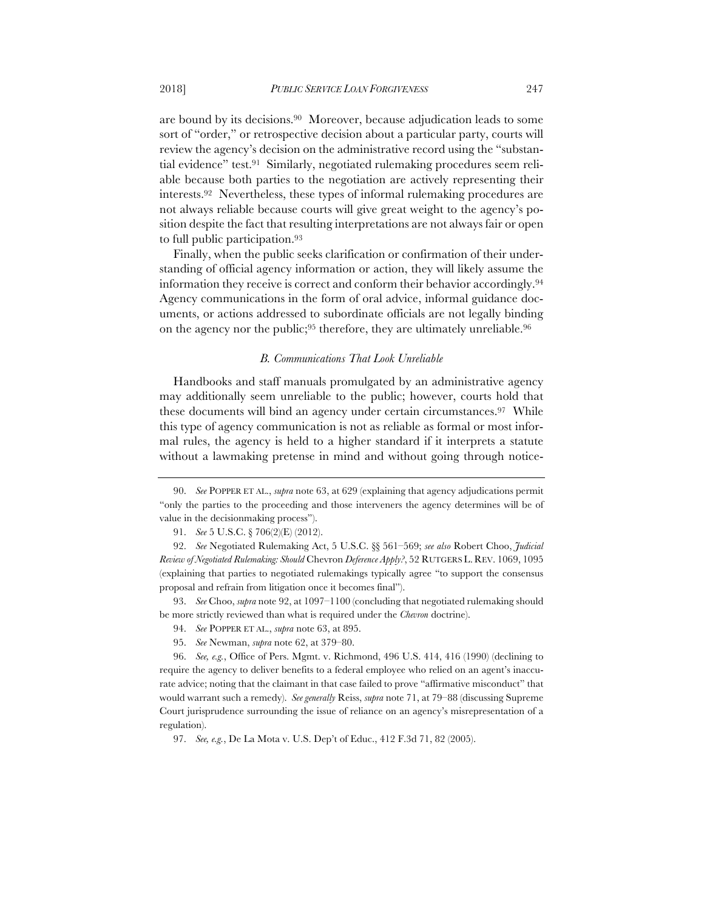are bound by its decisions.90 Moreover, because adjudication leads to some sort of "order," or retrospective decision about a particular party, courts will review the agency's decision on the administrative record using the "substantial evidence" test.91 Similarly, negotiated rulemaking procedures seem reliable because both parties to the negotiation are actively representing their interests.92 Nevertheless, these types of informal rulemaking procedures are not always reliable because courts will give great weight to the agency's position despite the fact that resulting interpretations are not always fair or open to full public participation.93

Finally, when the public seeks clarification or confirmation of their understanding of official agency information or action, they will likely assume the information they receive is correct and conform their behavior accordingly.94 Agency communications in the form of oral advice, informal guidance documents, or actions addressed to subordinate officials are not legally binding on the agency nor the public;95 therefore, they are ultimately unreliable.96

# *B. Communications That Look Unreliable*

Handbooks and staff manuals promulgated by an administrative agency may additionally seem unreliable to the public; however, courts hold that these documents will bind an agency under certain circumstances.97 While this type of agency communication is not as reliable as formal or most informal rules, the agency is held to a higher standard if it interprets a statute without a lawmaking pretense in mind and without going through notice-

93. *See* Choo, *supra* note 92, at 1097–1100 (concluding that negotiated rulemaking should be more strictly reviewed than what is required under the *Chevron* doctrine).

- 94. *See* POPPER ET AL., *supra* note 63, at 895.
- 95. *See* Newman, *supra* note 62, at 379–80.

<sup>90.</sup> *See* POPPER ET AL., *supra* note 63, at 629 (explaining that agency adjudications permit "only the parties to the proceeding and those interveners the agency determines will be of value in the decisionmaking process").

<sup>91.</sup> *See* 5 U.S.C. § 706(2)(E) (2012).

<sup>92.</sup> *See* Negotiated Rulemaking Act, 5 U.S.C. §§ 561–569; *see also* Robert Choo, *Judicial Review of Negotiated Rulemaking: Should* Chevron *Deference Apply?*, 52 RUTGERS L. REV. 1069, 1095 (explaining that parties to negotiated rulemakings typically agree "to support the consensus proposal and refrain from litigation once it becomes final").

<sup>96.</sup> *See, e.g.*, Office of Pers. Mgmt. v. Richmond, 496 U.S. 414, 416 (1990) (declining to require the agency to deliver benefits to a federal employee who relied on an agent's inaccurate advice; noting that the claimant in that case failed to prove "affirmative misconduct" that would warrant such a remedy). *See generally* Reiss, *supra* note 71, at 79–88 (discussing Supreme Court jurisprudence surrounding the issue of reliance on an agency's misrepresentation of a regulation).

<sup>97.</sup> *See, e.g.*, De La Mota v. U.S. Dep't of Educ., 412 F.3d 71, 82 (2005).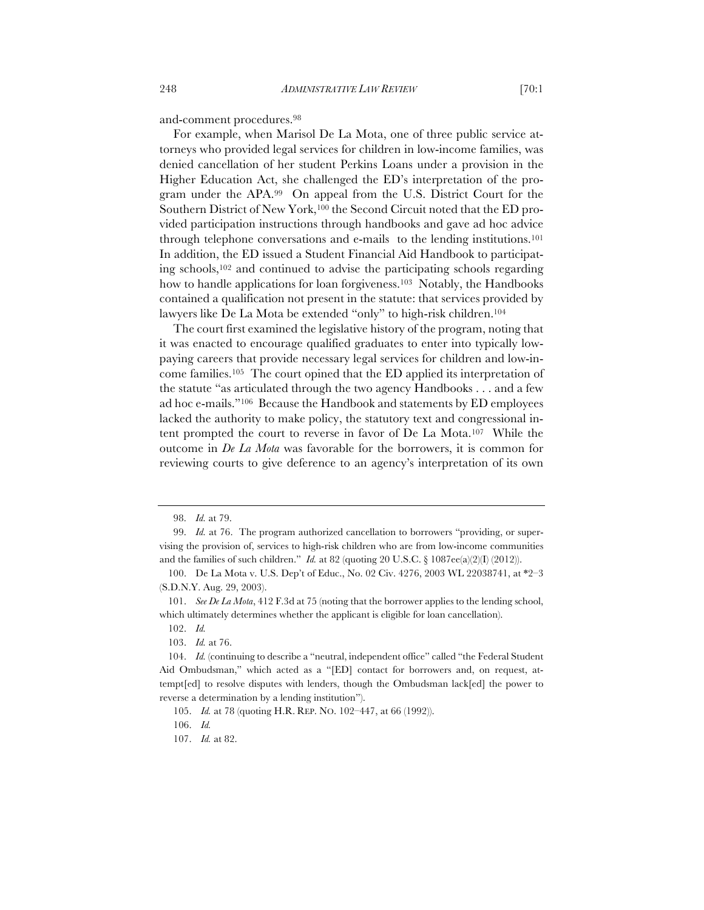and-comment procedures.98

For example, when Marisol De La Mota, one of three public service attorneys who provided legal services for children in low-income families, was denied cancellation of her student Perkins Loans under a provision in the Higher Education Act, she challenged the ED's interpretation of the program under the APA.99 On appeal from the U.S. District Court for the Southern District of New York,100 the Second Circuit noted that the ED provided participation instructions through handbooks and gave ad hoc advice through telephone conversations and e-mails to the lending institutions.101 In addition, the ED issued a Student Financial Aid Handbook to participating schools,102 and continued to advise the participating schools regarding how to handle applications for loan forgiveness.<sup>103</sup> Notably, the Handbooks contained a qualification not present in the statute: that services provided by lawyers like De La Mota be extended "only" to high-risk children.104

The court first examined the legislative history of the program, noting that it was enacted to encourage qualified graduates to enter into typically lowpaying careers that provide necessary legal services for children and low-income families.105 The court opined that the ED applied its interpretation of the statute "as articulated through the two agency Handbooks . . . and a few ad hoc e-mails."106 Because the Handbook and statements by ED employees lacked the authority to make policy, the statutory text and congressional intent prompted the court to reverse in favor of De La Mota.107 While the outcome in *De La Mota* was favorable for the borrowers, it is common for reviewing courts to give deference to an agency's interpretation of its own

<sup>98.</sup> *Id.* at 79.

<sup>99.</sup> *Id.* at 76. The program authorized cancellation to borrowers "providing, or supervising the provision of, services to high-risk children who are from low-income communities and the families of such children." *Id.* at 82 (quoting 20 U.S.C.  $\S$  1087ee(a)(2)(I) (2012)).

<sup>100.</sup> De La Mota v. U.S. Dep't of Educ., No. 02 Civ. 4276, 2003 WL 22038741, at \*2–3 (S.D.N.Y. Aug. 29, 2003).

<sup>101.</sup> *See De La Mota*, 412 F.3d at 75 (noting that the borrower applies to the lending school, which ultimately determines whether the applicant is eligible for loan cancellation).

<sup>102.</sup> *Id.*

<sup>103.</sup> *Id.* at 76.

<sup>104.</sup> *Id.* (continuing to describe a "neutral, independent office" called "the Federal Student Aid Ombudsman," which acted as a "[ED] contact for borrowers and, on request, attempt[ed] to resolve disputes with lenders, though the Ombudsman lack[ed] the power to reverse a determination by a lending institution").

<sup>105.</sup> *Id.* at 78 (quoting H.R. REP. NO. 102–447, at 66 (1992)).

<sup>106.</sup> *Id.*

<sup>107.</sup> *Id.* at 82.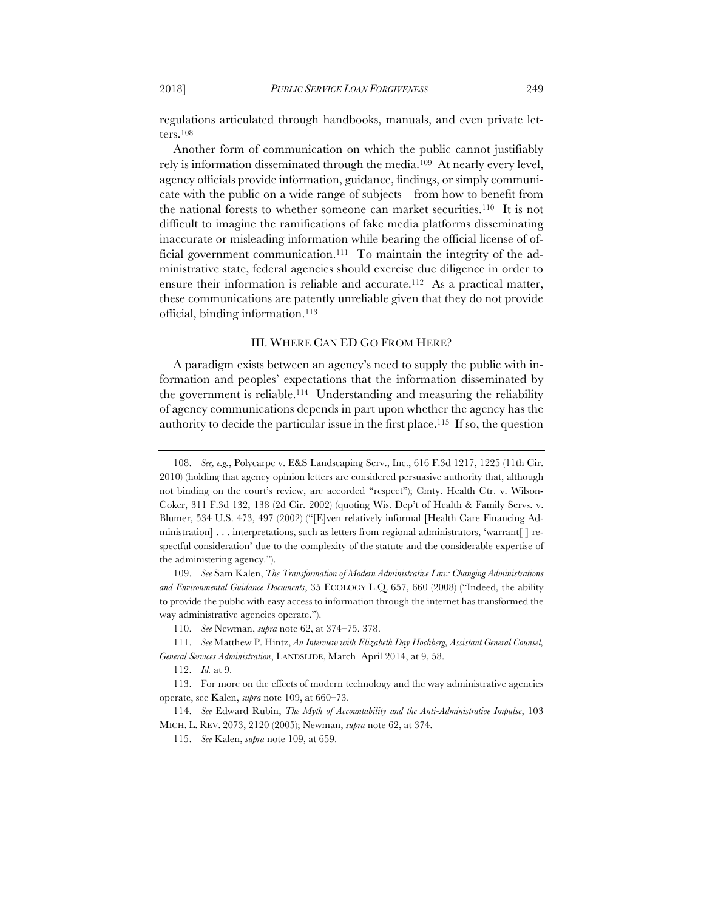regulations articulated through handbooks, manuals, and even private letters.108

Another form of communication on which the public cannot justifiably rely is information disseminated through the media.109 At nearly every level, agency officials provide information, guidance, findings, or simply communicate with the public on a wide range of subjects—from how to benefit from the national forests to whether someone can market securities.110 It is not difficult to imagine the ramifications of fake media platforms disseminating inaccurate or misleading information while bearing the official license of official government communication.111 To maintain the integrity of the administrative state, federal agencies should exercise due diligence in order to ensure their information is reliable and accurate.<sup>112</sup> As a practical matter, these communications are patently unreliable given that they do not provide official, binding information.113

#### III. WHERE CAN ED GO FROM HERE?

A paradigm exists between an agency's need to supply the public with information and peoples' expectations that the information disseminated by the government is reliable.114 Understanding and measuring the reliability of agency communications depends in part upon whether the agency has the authority to decide the particular issue in the first place.115 If so, the question

<sup>108.</sup> *See, e.g.*, Polycarpe v. E&S Landscaping Serv., Inc., 616 F.3d 1217, 1225 (11th Cir. 2010) (holding that agency opinion letters are considered persuasive authority that, although not binding on the court's review, are accorded "respect"); Cmty. Health Ctr. v. Wilson-Coker, 311 F.3d 132, 138 (2d Cir. 2002) (quoting Wis. Dep't of Health & Family Servs. v. Blumer, 534 U.S. 473, 497 (2002) ("[E]ven relatively informal [Health Care Financing Administration] . . . interpretations, such as letters from regional administrators, 'warrant[ ] respectful consideration' due to the complexity of the statute and the considerable expertise of the administering agency.").

<sup>109.</sup> *See* Sam Kalen, *The Transformation of Modern Administrative Law: Changing Administrations and Environmental Guidance Documents*, 35 ECOLOGY L.Q. 657, 660 (2008) ("Indeed, the ability to provide the public with easy access to information through the internet has transformed the way administrative agencies operate.").

<sup>110.</sup> *See* Newman, *supra* note 62, at 374–75, 378.

<sup>111.</sup> *See* Matthew P. Hintz, *An Interview with Elizabeth Day Hochberg, Assistant General Counsel, General Services Administration*, LANDSLIDE, March–April 2014, at 9, 58.

<sup>112.</sup> *Id.* at 9.

<sup>113.</sup> For more on the effects of modern technology and the way administrative agencies operate, see Kalen, *supra* note 109, at 660–73.

<sup>114.</sup> *See* Edward Rubin, *The Myth of Accountability and the Anti-Administrative Impulse*, 103 MICH. L. REV. 2073, 2120 (2005); Newman, *supra* note 62, at 374.

<sup>115.</sup> *See* Kalen, *supra* note 109, at 659.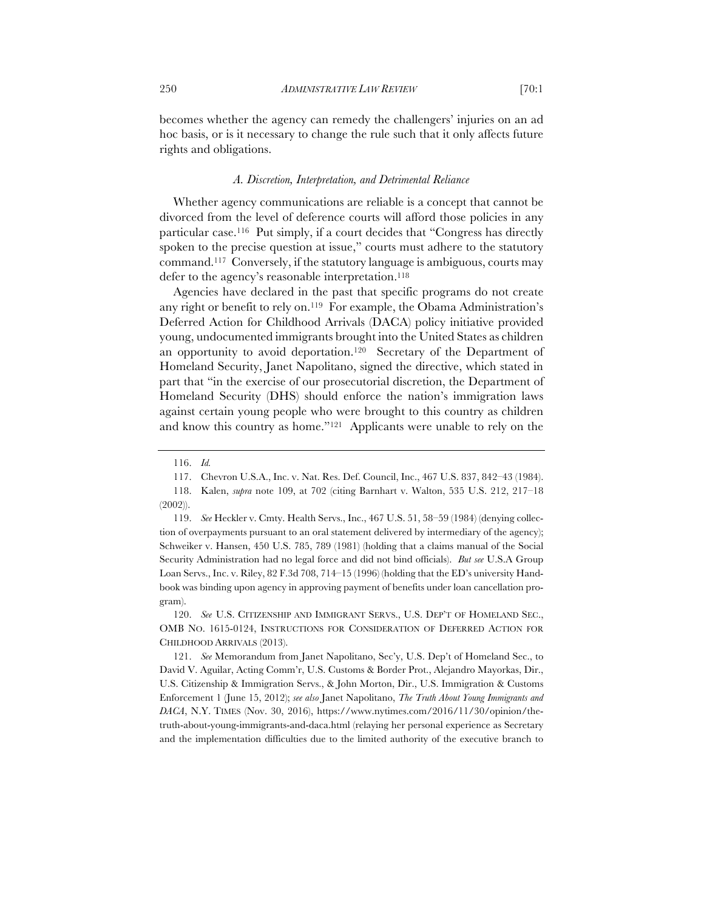becomes whether the agency can remedy the challengers' injuries on an ad hoc basis, or is it necessary to change the rule such that it only affects future rights and obligations.

## *A. Discretion, Interpretation, and Detrimental Reliance*

Whether agency communications are reliable is a concept that cannot be divorced from the level of deference courts will afford those policies in any particular case.116 Put simply, if a court decides that "Congress has directly spoken to the precise question at issue," courts must adhere to the statutory command.117 Conversely, if the statutory language is ambiguous, courts may defer to the agency's reasonable interpretation.<sup>118</sup>

Agencies have declared in the past that specific programs do not create any right or benefit to rely on.119 For example, the Obama Administration's Deferred Action for Childhood Arrivals (DACA) policy initiative provided young, undocumented immigrants brought into the United States as children an opportunity to avoid deportation.<sup>120</sup> Secretary of the Department of Homeland Security, Janet Napolitano, signed the directive, which stated in part that "in the exercise of our prosecutorial discretion, the Department of Homeland Security (DHS) should enforce the nation's immigration laws against certain young people who were brought to this country as children and know this country as home."121 Applicants were unable to rely on the

<sup>116.</sup> *Id.*

<sup>117.</sup> Chevron U.S.A., Inc. v. Nat. Res. Def. Council, Inc., 467 U.S. 837, 842–43 (1984).

<sup>118.</sup> Kalen, *supra* note 109, at 702 (citing Barnhart v. Walton, 535 U.S. 212, 217–18 (2002)).

<sup>119.</sup> *See* Heckler v. Cmty. Health Servs., Inc., 467 U.S. 51, 58–59 (1984) (denying collection of overpayments pursuant to an oral statement delivered by intermediary of the agency); Schweiker v. Hansen, 450 U.S. 785, 789 (1981) (holding that a claims manual of the Social Security Administration had no legal force and did not bind officials). *But see* U.S.A Group Loan Servs., Inc. v. Riley, 82 F.3d 708, 714–15 (1996) (holding that the ED's university Handbook was binding upon agency in approving payment of benefits under loan cancellation program).

<sup>120.</sup> *See* U.S. CITIZENSHIP AND IMMIGRANT SERVS., U.S. DEP'T OF HOMELAND SEC., OMB NO. 1615-0124, INSTRUCTIONS FOR CONSIDERATION OF DEFERRED ACTION FOR CHILDHOOD ARRIVALS (2013).

<sup>121.</sup> *See* Memorandum from Janet Napolitano, Sec'y, U.S. Dep't of Homeland Sec., to David V. Aguilar, Acting Comm'r, U.S. Customs & Border Prot., Alejandro Mayorkas, Dir., U.S. Citizenship & Immigration Servs., & John Morton, Dir., U.S. Immigration & Customs Enforcement 1 (June 15, 2012); *see also* Janet Napolitano, *The Truth About Young Immigrants and DACA*, N.Y. TIMES (Nov. 30, 2016), https://www.nytimes.com/2016/11/30/opinion/thetruth-about-young-immigrants-and-daca.html (relaying her personal experience as Secretary and the implementation difficulties due to the limited authority of the executive branch to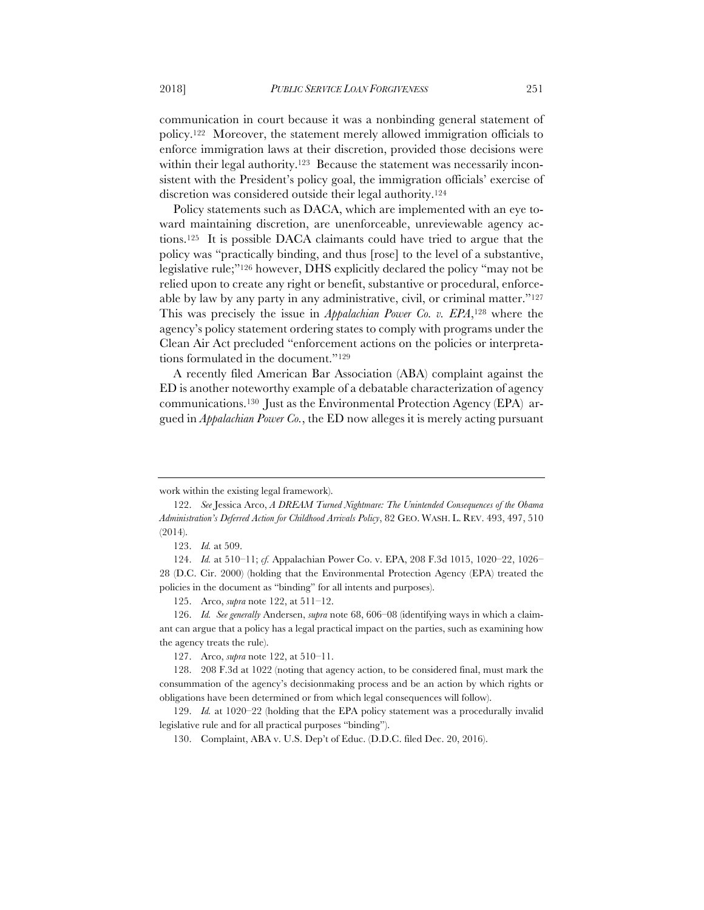communication in court because it was a nonbinding general statement of policy.122 Moreover, the statement merely allowed immigration officials to enforce immigration laws at their discretion, provided those decisions were within their legal authority.<sup>123</sup> Because the statement was necessarily inconsistent with the President's policy goal, the immigration officials' exercise of discretion was considered outside their legal authority.<sup>124</sup>

Policy statements such as DACA, which are implemented with an eye toward maintaining discretion, are unenforceable, unreviewable agency actions.125 It is possible DACA claimants could have tried to argue that the policy was "practically binding, and thus [rose] to the level of a substantive, legislative rule;"126 however, DHS explicitly declared the policy "may not be relied upon to create any right or benefit, substantive or procedural, enforceable by law by any party in any administrative, civil, or criminal matter."127 This was precisely the issue in *Appalachian Power Co. v. EPA*,128 where the agency's policy statement ordering states to comply with programs under the Clean Air Act precluded "enforcement actions on the policies or interpretations formulated in the document."129

A recently filed American Bar Association (ABA) complaint against the ED is another noteworthy example of a debatable characterization of agency communications.130 Just as the Environmental Protection Agency (EPA) argued in *Appalachian Power Co.*, the ED now alleges it is merely acting pursuant

125. Arco, *supra* note 122, at 511–12.

126. *Id. See generally* Andersen, *supra* note 68, 606–08 (identifying ways in which a claimant can argue that a policy has a legal practical impact on the parties, such as examining how the agency treats the rule).

127. Arco, *supra* note 122, at 510–11.

128. 208 F.3d at 1022 (noting that agency action, to be considered final, must mark the consummation of the agency's decisionmaking process and be an action by which rights or obligations have been determined or from which legal consequences will follow).

129. *Id.* at 1020–22 (holding that the EPA policy statement was a procedurally invalid legislative rule and for all practical purposes "binding").

130. Complaint, ABA v. U.S. Dep't of Educ. (D.D.C. filed Dec. 20, 2016).

work within the existing legal framework).

<sup>122.</sup> *See* Jessica Arco, *A DREAM Turned Nightmare: The Unintended Consequences of the Obama Administration's Deferred Action for Childhood Arrivals Policy*, 82 GEO. WASH. L. REV. 493, 497, 510 (2014).

<sup>123.</sup> *Id.* at 509.

<sup>124.</sup> *Id.* at 510–11; *cf.* Appalachian Power Co. v. EPA, 208 F.3d 1015, 1020–22, 1026– 28 (D.C. Cir. 2000) (holding that the Environmental Protection Agency (EPA) treated the policies in the document as "binding" for all intents and purposes).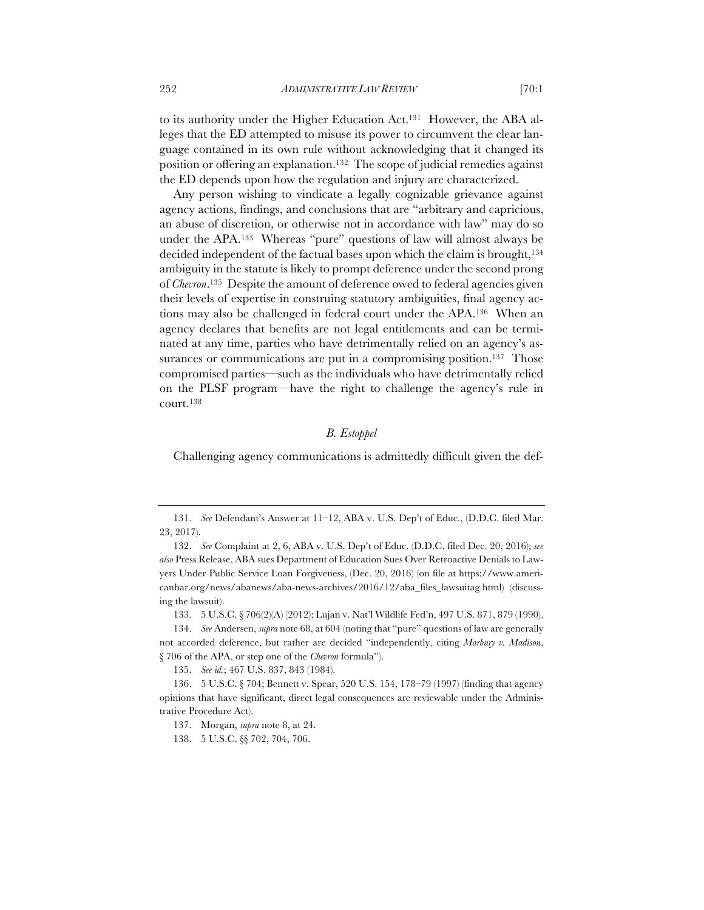to its authority under the Higher Education Act.131 However, the ABA alleges that the ED attempted to misuse its power to circumvent the clear language contained in its own rule without acknowledging that it changed its position or offering an explanation.132 The scope of judicial remedies against the ED depends upon how the regulation and injury are characterized.

Any person wishing to vindicate a legally cognizable grievance against agency actions, findings, and conclusions that are "arbitrary and capricious, an abuse of discretion, or otherwise not in accordance with law" may do so under the APA.133 Whereas "pure" questions of law will almost always be decided independent of the factual bases upon which the claim is brought,134 ambiguity in the statute is likely to prompt deference under the second prong of *Chevron*.135 Despite the amount of deference owed to federal agencies given their levels of expertise in construing statutory ambiguities, final agency actions may also be challenged in federal court under the APA.136 When an agency declares that benefits are not legal entitlements and can be terminated at any time, parties who have detrimentally relied on an agency's assurances or communications are put in a compromising position.<sup>137</sup> Those compromised parties—such as the individuals who have detrimentally relied on the PLSF program—have the right to challenge the agency's rule in court.138

# *B. Estoppel*

Challenging agency communications is admittedly difficult given the def-

133. 5 U.S.C. § 706(2)(A) (2012); Lujan v. Nat'l Wildlife Fed'n, 497 U.S. 871, 879 (1990).

<sup>131.</sup> *See* Defendant's Answer at 11–12, ABA v. U.S. Dep't of Educ., (D.D.C. filed Mar. 23, 2017).

<sup>132.</sup> *See* Complaint at 2, 6, ABA v. U.S. Dep't of Educ. (D.D.C. filed Dec. 20, 2016); *see also* Press Release, ABA sues Department of Education Sues Over Retroactive Denials to Lawyers Under Public Service Loan Forgiveness, (Dec. 20, 2016) (on file at https://www.americanbar.org/news/abanews/aba-news-archives/2016/12/aba\_files\_lawsuitag.html) (discussing the lawsuit).

<sup>134.</sup> *See* Andersen, *supra* note 68, at 604 (noting that "pure" questions of law are generally not accorded deference, but rather are decided "independently, citing *Marbury v. Madison*, § 706 of the APA, or step one of the *Chevron* formula").

<sup>135.</sup> *See id.*; 467 U.S. 837, 843 (1984).

<sup>136.</sup> 5 U.S.C. § 704; Bennett v. Spear, 520 U.S. 154, 178–79 (1997) (finding that agency opinions that have significant, direct legal consequences are reviewable under the Administrative Procedure Act).

<sup>137.</sup> Morgan, *supra* note 8, at 24.

<sup>138.</sup> 5 U.S.C. §§ 702, 704, 706.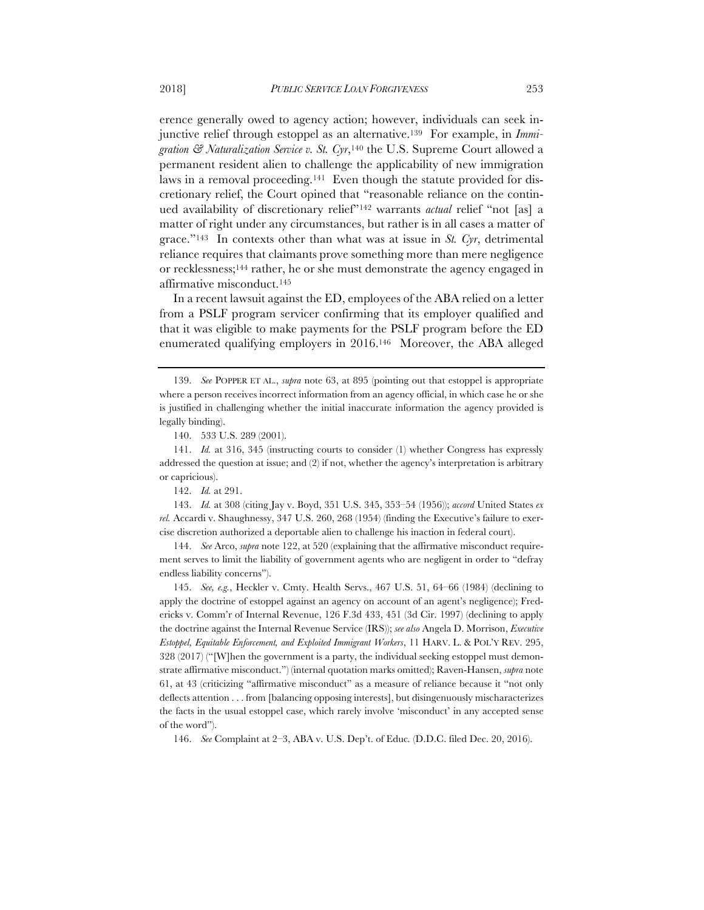erence generally owed to agency action; however, individuals can seek injunctive relief through estoppel as an alternative.139 For example, in *Immigration & Naturalization Service v. St. Cyr*,140 the U.S. Supreme Court allowed a permanent resident alien to challenge the applicability of new immigration laws in a removal proceeding.141 Even though the statute provided for discretionary relief, the Court opined that "reasonable reliance on the continued availability of discretionary relief"142 warrants *actual* relief "not [as] a matter of right under any circumstances, but rather is in all cases a matter of grace."143 In contexts other than what was at issue in *St. Cyr*, detrimental reliance requires that claimants prove something more than mere negligence or recklessness;144 rather, he or she must demonstrate the agency engaged in affirmative misconduct.145

In a recent lawsuit against the ED, employees of the ABA relied on a letter from a PSLF program servicer confirming that its employer qualified and that it was eligible to make payments for the PSLF program before the ED enumerated qualifying employers in 2016.146 Moreover, the ABA alleged

143. *Id.* at 308 (citing Jay v. Boyd, 351 U.S. 345, 353–54 (1956)); *accord* United States *ex rel.* Accardi v. Shaughnessy, 347 U.S. 260, 268 (1954) (finding the Executive's failure to exercise discretion authorized a deportable alien to challenge his inaction in federal court).

144. *See* Arco, *supra* note 122, at 520 (explaining that the affirmative misconduct requirement serves to limit the liability of government agents who are negligent in order to "defray endless liability concerns").

145. *See, e.g.*, Heckler v. Cmty. Health Servs., 467 U.S. 51, 64–66 (1984) (declining to apply the doctrine of estoppel against an agency on account of an agent's negligence); Fredericks v. Comm'r of Internal Revenue, 126 F.3d 433, 451 (3d Cir. 1997) (declining to apply the doctrine against the Internal Revenue Service (IRS)); *see also* Angela D. Morrison, *Executive Estoppel, Equitable Enforcement, and Exploited Immigrant Workers*, 11 HARV. L. & POL'Y REV. 295, 328 (2017) ("[W]hen the government is a party, the individual seeking estoppel must demonstrate affirmative misconduct.") (internal quotation marks omitted); Raven-Hansen, *supra* note 61, at 43 (criticizing "affirmative misconduct" as a measure of reliance because it "not only deflects attention . . . from [balancing opposing interests], but disingenuously mischaracterizes the facts in the usual estoppel case, which rarely involve 'misconduct' in any accepted sense of the word").

146. *See* Complaint at 2–3, ABA v. U.S. Dep't. of Educ*.* (D.D.C. filed Dec. 20, 2016).

<sup>139.</sup> *See* POPPER ET AL., *supra* note 63, at 895 (pointing out that estoppel is appropriate where a person receives incorrect information from an agency official, in which case he or she is justified in challenging whether the initial inaccurate information the agency provided is legally binding).

<sup>140.</sup> 533 U.S. 289 (2001).

<sup>141.</sup> *Id.* at 316, 345 (instructing courts to consider (1) whether Congress has expressly addressed the question at issue; and (2) if not, whether the agency's interpretation is arbitrary or capricious).

<sup>142.</sup> *Id.* at 291.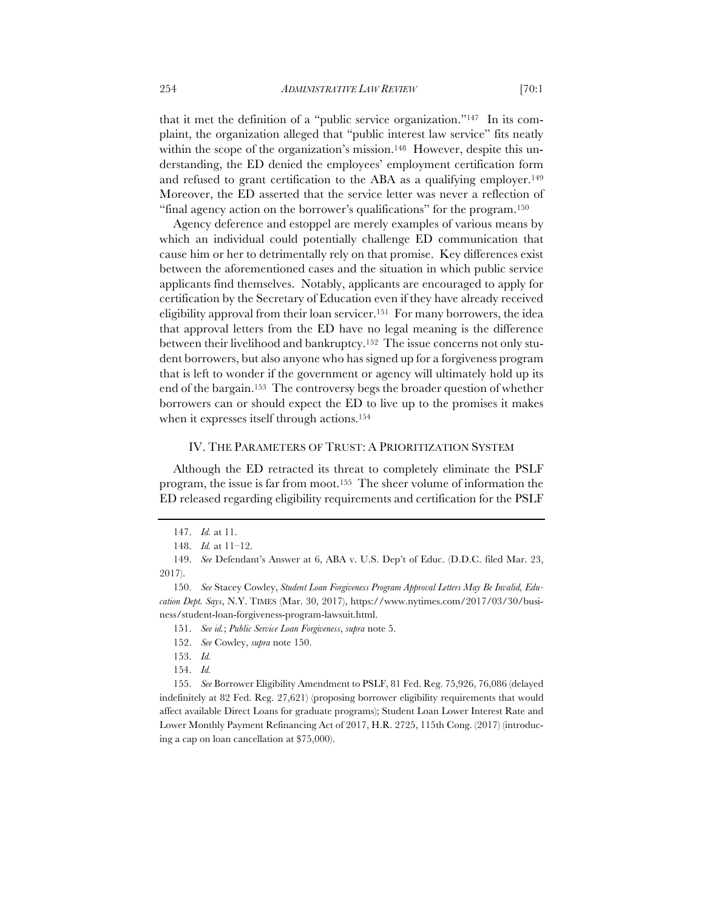that it met the definition of a "public service organization."147 In its complaint, the organization alleged that "public interest law service" fits neatly within the scope of the organization's mission.<sup>148</sup> However, despite this understanding, the ED denied the employees' employment certification form and refused to grant certification to the ABA as a qualifying employer.149 Moreover, the ED asserted that the service letter was never a reflection of "final agency action on the borrower's qualifications" for the program.150

Agency deference and estoppel are merely examples of various means by which an individual could potentially challenge ED communication that cause him or her to detrimentally rely on that promise. Key differences exist between the aforementioned cases and the situation in which public service applicants find themselves. Notably, applicants are encouraged to apply for certification by the Secretary of Education even if they have already received eligibility approval from their loan servicer.151 For many borrowers, the idea that approval letters from the ED have no legal meaning is the difference between their livelihood and bankruptcy.152 The issue concerns not only student borrowers, but also anyone who has signed up for a forgiveness program that is left to wonder if the government or agency will ultimately hold up its end of the bargain.153 The controversy begs the broader question of whether borrowers can or should expect the ED to live up to the promises it makes when it expresses itself through actions.154

#### IV. THE PARAMETERS OF TRUST: A PRIORITIZATION SYSTEM

Although the ED retracted its threat to completely eliminate the PSLF program, the issue is far from moot.155 The sheer volume of information the ED released regarding eligibility requirements and certification for the PSLF

<sup>147.</sup> *Id.* at 11.

<sup>148.</sup> *Id.* at 11–12.

<sup>149.</sup> *See* Defendant's Answer at 6, ABA v. U.S. Dep't of Educ. (D.D.C. filed Mar. 23, 2017).

<sup>150.</sup> *See* Stacey Cowley, *Student Loan Forgiveness Program Approval Letters May Be Invalid, Education Dept. Says*, N.Y. TIMES (Mar. 30, 2017), https://www.nytimes.com/2017/03/30/business/student-loan-forgiveness-program-lawsuit.html.

<sup>151.</sup> *See id.*; *Public Service Loan Forgiveness*, *supra* note 5.

<sup>152.</sup> *See* Cowley, *supra* note 150.

<sup>153.</sup> *Id.*

<sup>154.</sup> *Id.*

<sup>155.</sup> *See* Borrower Eligibility Amendment to PSLF, 81 Fed. Reg. 75,926, 76,086 (delayed indefinitely at 82 Fed. Reg. 27,621) (proposing borrower eligibility requirements that would affect available Direct Loans for graduate programs); Student Loan Lower Interest Rate and Lower Monthly Payment Refinancing Act of 2017, H.R. 2725, 115th Cong. (2017) (introducing a cap on loan cancellation at \$75,000).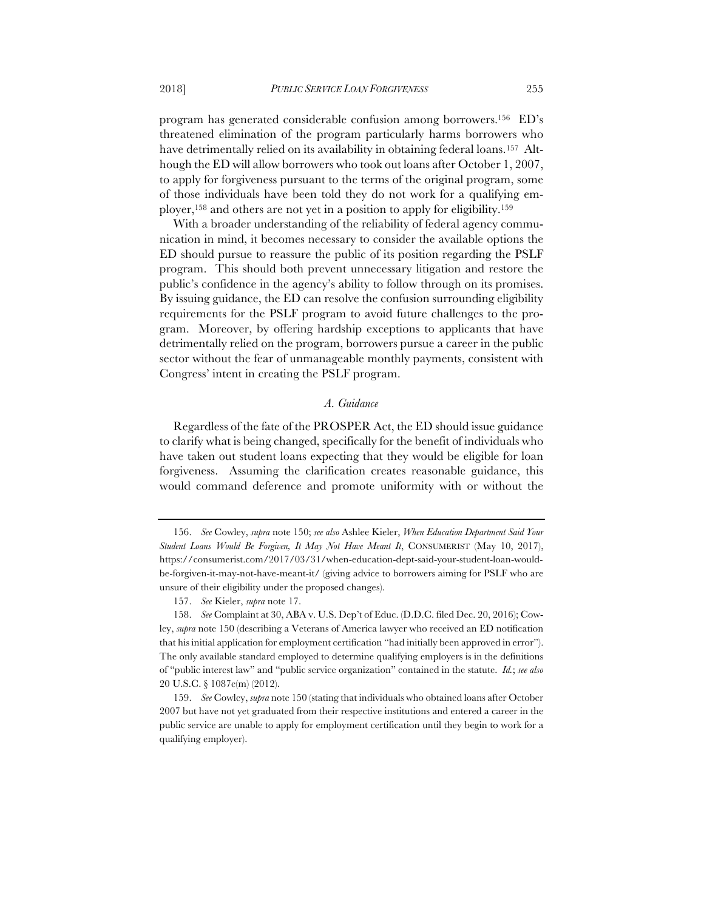program has generated considerable confusion among borrowers.156 ED's threatened elimination of the program particularly harms borrowers who have detrimentally relied on its availability in obtaining federal loans.<sup>157</sup> Although the ED will allow borrowers who took out loans after October 1, 2007, to apply for forgiveness pursuant to the terms of the original program, some of those individuals have been told they do not work for a qualifying employer,158 and others are not yet in a position to apply for eligibility.159

With a broader understanding of the reliability of federal agency communication in mind, it becomes necessary to consider the available options the ED should pursue to reassure the public of its position regarding the PSLF program. This should both prevent unnecessary litigation and restore the public's confidence in the agency's ability to follow through on its promises. By issuing guidance, the ED can resolve the confusion surrounding eligibility requirements for the PSLF program to avoid future challenges to the program. Moreover, by offering hardship exceptions to applicants that have detrimentally relied on the program, borrowers pursue a career in the public sector without the fear of unmanageable monthly payments, consistent with Congress' intent in creating the PSLF program.

#### *A. Guidance*

Regardless of the fate of the PROSPER Act, the ED should issue guidance to clarify what is being changed, specifically for the benefit of individuals who have taken out student loans expecting that they would be eligible for loan forgiveness. Assuming the clarification creates reasonable guidance, this would command deference and promote uniformity with or without the

<sup>156.</sup> *See* Cowley, *supra* note 150; *see also* Ashlee Kieler, *When Education Department Said Your Student Loans Would Be Forgiven, It May Not Have Meant It*, CONSUMERIST (May 10, 2017), https://consumerist.com/2017/03/31/when-education-dept-said-your-student-loan-wouldbe-forgiven-it-may-not-have-meant-it/ (giving advice to borrowers aiming for PSLF who are unsure of their eligibility under the proposed changes).

<sup>157.</sup> *See* Kieler, *supra* note 17.

<sup>158.</sup> *See* Complaint at 30, ABA v. U.S. Dep't of Educ. (D.D.C. filed Dec. 20, 2016); Cowley, *supra* note 150 (describing a Veterans of America lawyer who received an ED notification that his initial application for employment certification "had initially been approved in error"). The only available standard employed to determine qualifying employers is in the definitions of "public interest law" and "public service organization" contained in the statute. *Id.*; *see also* 20 U.S.C. § 1087e(m) (2012).

<sup>159.</sup> *See* Cowley, *supra* note 150 (stating that individuals who obtained loans after October 2007 but have not yet graduated from their respective institutions and entered a career in the public service are unable to apply for employment certification until they begin to work for a qualifying employer).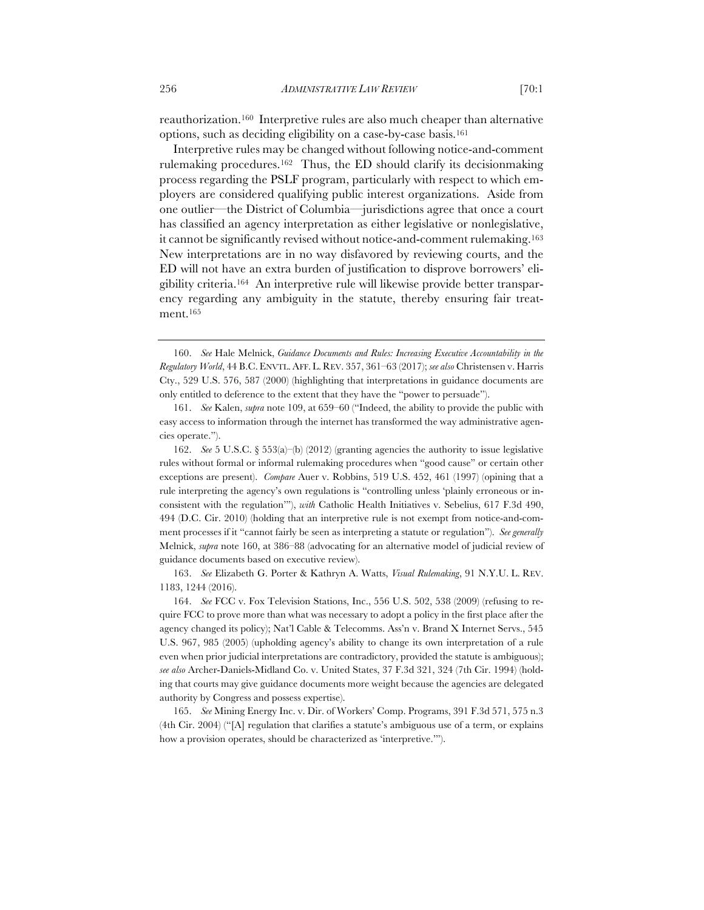reauthorization.160 Interpretive rules are also much cheaper than alternative options, such as deciding eligibility on a case-by-case basis.161

Interpretive rules may be changed without following notice-and-comment rulemaking procedures.162 Thus, the ED should clarify its decisionmaking process regarding the PSLF program, particularly with respect to which employers are considered qualifying public interest organizations. Aside from one outlier—the District of Columbia—jurisdictions agree that once a court has classified an agency interpretation as either legislative or nonlegislative, it cannot be significantly revised without notice-and-comment rulemaking.163 New interpretations are in no way disfavored by reviewing courts, and the ED will not have an extra burden of justification to disprove borrowers' eligibility criteria.164 An interpretive rule will likewise provide better transparency regarding any ambiguity in the statute, thereby ensuring fair treatment.165

162. *See* 5 U.S.C. § 553(a)–(b) (2012) (granting agencies the authority to issue legislative rules without formal or informal rulemaking procedures when "good cause" or certain other exceptions are present). *Compare* Auer v. Robbins, 519 U.S. 452, 461 (1997) (opining that a rule interpreting the agency's own regulations is "controlling unless 'plainly erroneous or inconsistent with the regulation'"), *with* Catholic Health Initiatives v. Sebelius, 617 F.3d 490, 494 (D.C. Cir. 2010) (holding that an interpretive rule is not exempt from notice-and-comment processes if it "cannot fairly be seen as interpreting a statute or regulation"). *See generally* Melnick, *supra* note 160, at 386–88 (advocating for an alternative model of judicial review of guidance documents based on executive review).

163. *See* Elizabeth G. Porter & Kathryn A. Watts, *Visual Rulemaking*, 91 N.Y.U. L. REV. 1183, 1244 (2016).

164. *See* FCC v. Fox Television Stations, Inc., 556 U.S. 502, 538 (2009) (refusing to require FCC to prove more than what was necessary to adopt a policy in the first place after the agency changed its policy); Nat'l Cable & Telecomms. Ass'n v. Brand X Internet Servs., 545 U.S. 967, 985 (2005) (upholding agency's ability to change its own interpretation of a rule even when prior judicial interpretations are contradictory, provided the statute is ambiguous); *see also* Archer-Daniels-Midland Co. v. United States, 37 F.3d 321, 324 (7th Cir. 1994) (holding that courts may give guidance documents more weight because the agencies are delegated authority by Congress and possess expertise).

165. *See* Mining Energy Inc. v. Dir. of Workers' Comp. Programs, 391 F.3d 571, 575 n.3 (4th Cir. 2004) ("[A] regulation that clarifies a statute's ambiguous use of a term, or explains how a provision operates, should be characterized as 'interpretive.'").

<sup>160.</sup> *See* Hale Melnick, *Guidance Documents and Rules: Increasing Executive Accountability in the Regulatory World*, 44 B.C.ENVTL.AFF. L. REV. 357, 361–63 (2017); *see also* Christensen v. Harris Cty., 529 U.S. 576, 587 (2000) (highlighting that interpretations in guidance documents are only entitled to deference to the extent that they have the "power to persuade").

<sup>161.</sup> *See* Kalen, *supra* note 109, at 659–60 ("Indeed, the ability to provide the public with easy access to information through the internet has transformed the way administrative agencies operate.").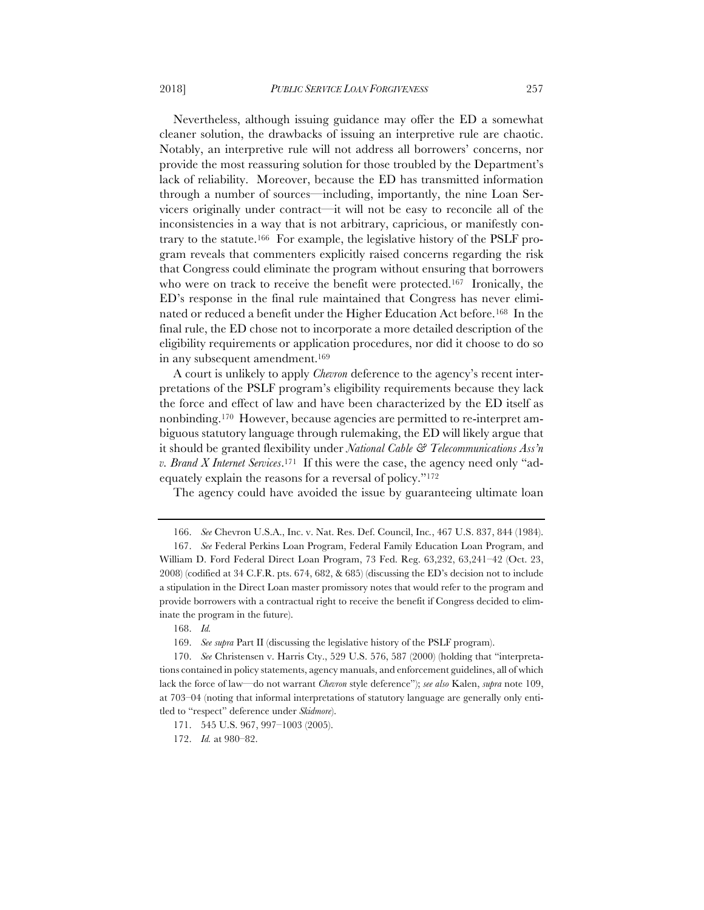Nevertheless, although issuing guidance may offer the ED a somewhat cleaner solution, the drawbacks of issuing an interpretive rule are chaotic. Notably, an interpretive rule will not address all borrowers' concerns, nor provide the most reassuring solution for those troubled by the Department's lack of reliability. Moreover, because the ED has transmitted information through a number of sources—including, importantly, the nine Loan Servicers originally under contract—it will not be easy to reconcile all of the inconsistencies in a way that is not arbitrary, capricious, or manifestly contrary to the statute.166 For example, the legislative history of the PSLF program reveals that commenters explicitly raised concerns regarding the risk that Congress could eliminate the program without ensuring that borrowers who were on track to receive the benefit were protected.<sup>167</sup> Ironically, the ED's response in the final rule maintained that Congress has never eliminated or reduced a benefit under the Higher Education Act before.168 In the final rule, the ED chose not to incorporate a more detailed description of the eligibility requirements or application procedures, nor did it choose to do so in any subsequent amendment.169

A court is unlikely to apply *Chevron* deference to the agency's recent interpretations of the PSLF program's eligibility requirements because they lack the force and effect of law and have been characterized by the ED itself as nonbinding.170 However, because agencies are permitted to re-interpret ambiguous statutory language through rulemaking, the ED will likely argue that it should be granted flexibility under *National Cable & Telecommunications Ass'n v. Brand X Internet Services*.171 If this were the case, the agency need only "adequately explain the reasons for a reversal of policy."172

The agency could have avoided the issue by guaranteeing ultimate loan

168. *Id.*

169. *See supra* Part II (discussing the legislative history of the PSLF program).

172. *Id.* at 980–82.

<sup>166.</sup> *See* Chevron U.S.A., Inc. v. Nat. Res. Def. Council, Inc*.*, 467 U.S. 837, 844 (1984).

<sup>167.</sup> *See* Federal Perkins Loan Program, Federal Family Education Loan Program, and William D. Ford Federal Direct Loan Program, 73 Fed. Reg. 63,232, 63,241–42 (Oct. 23, 2008) (codified at 34 C.F.R. pts. 674, 682, & 685) (discussing the ED's decision not to include a stipulation in the Direct Loan master promissory notes that would refer to the program and provide borrowers with a contractual right to receive the benefit if Congress decided to eliminate the program in the future).

<sup>170.</sup> *See* Christensen v. Harris Cty., 529 U.S. 576, 587 (2000) (holding that "interpretations contained in policy statements, agency manuals, and enforcement guidelines, all of which lack the force of law—do not warrant *Chevron* style deference"); *see also* Kalen, *supra* note 109, at 703–04 (noting that informal interpretations of statutory language are generally only entitled to "respect" deference under *Skidmore*).

<sup>171.</sup> 545 U.S. 967, 997–1003 (2005).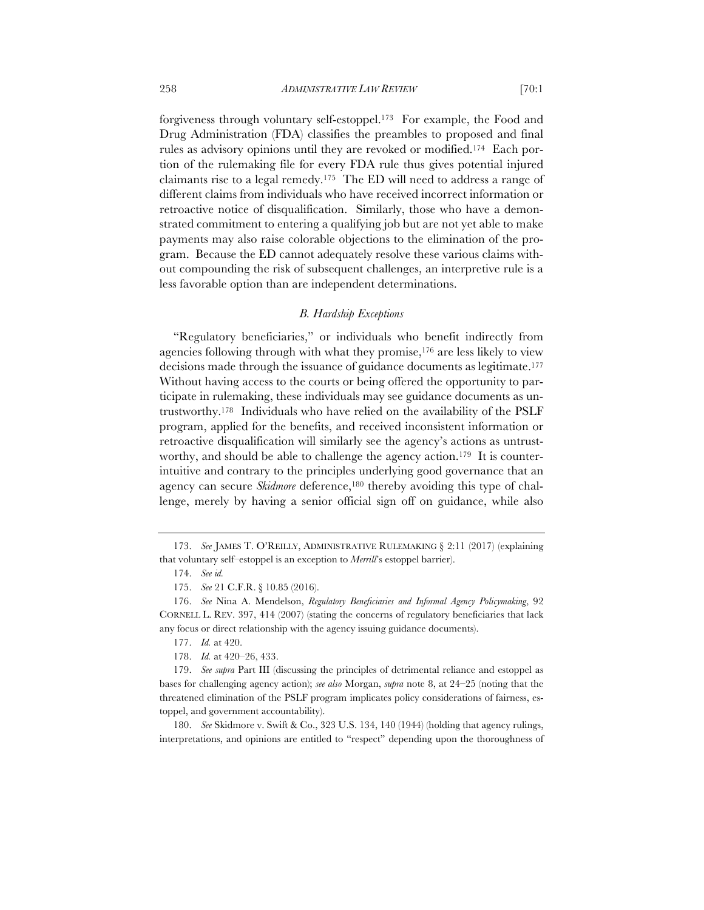forgiveness through voluntary self-estoppel.173 For example, the Food and Drug Administration (FDA) classifies the preambles to proposed and final rules as advisory opinions until they are revoked or modified.174 Each portion of the rulemaking file for every FDA rule thus gives potential injured claimants rise to a legal remedy.175 The ED will need to address a range of different claims from individuals who have received incorrect information or retroactive notice of disqualification. Similarly, those who have a demonstrated commitment to entering a qualifying job but are not yet able to make payments may also raise colorable objections to the elimination of the program. Because the ED cannot adequately resolve these various claims without compounding the risk of subsequent challenges, an interpretive rule is a less favorable option than are independent determinations.

# *B. Hardship Exceptions*

"Regulatory beneficiaries," or individuals who benefit indirectly from agencies following through with what they promise,176 are less likely to view decisions made through the issuance of guidance documents as legitimate.177 Without having access to the courts or being offered the opportunity to participate in rulemaking, these individuals may see guidance documents as untrustworthy.178 Individuals who have relied on the availability of the PSLF program, applied for the benefits, and received inconsistent information or retroactive disqualification will similarly see the agency's actions as untrustworthy, and should be able to challenge the agency action.<sup>179</sup> It is counterintuitive and contrary to the principles underlying good governance that an agency can secure *Skidmore* deference,<sup>180</sup> thereby avoiding this type of challenge, merely by having a senior official sign off on guidance, while also

180. *See* Skidmore v. Swift & Co., 323 U.S. 134, 140 (1944) (holding that agency rulings, interpretations, and opinions are entitled to "respect" depending upon the thoroughness of

<sup>173.</sup> *See* JAMES T. O'REILLY, ADMINISTRATIVE RULEMAKING § 2:11 (2017) (explaining that voluntary self–estoppel is an exception to *Merrill*'s estoppel barrier).

<sup>174.</sup> *See id.*

<sup>175.</sup> *See* 21 C.F.R. § 10.85 (2016).

<sup>176.</sup> *See* Nina A. Mendelson, *Regulatory Beneficiaries and Informal Agency Policymaking*, 92 CORNELL L. REV. 397, 414 (2007) (stating the concerns of regulatory beneficiaries that lack any focus or direct relationship with the agency issuing guidance documents).

<sup>177.</sup> *Id.* at 420.

<sup>178.</sup> *Id.* at 420–26, 433.

<sup>179.</sup> *See supra* Part III (discussing the principles of detrimental reliance and estoppel as bases for challenging agency action); *see also* Morgan, *supra* note 8, at 24–25 (noting that the threatened elimination of the PSLF program implicates policy considerations of fairness, estoppel, and government accountability).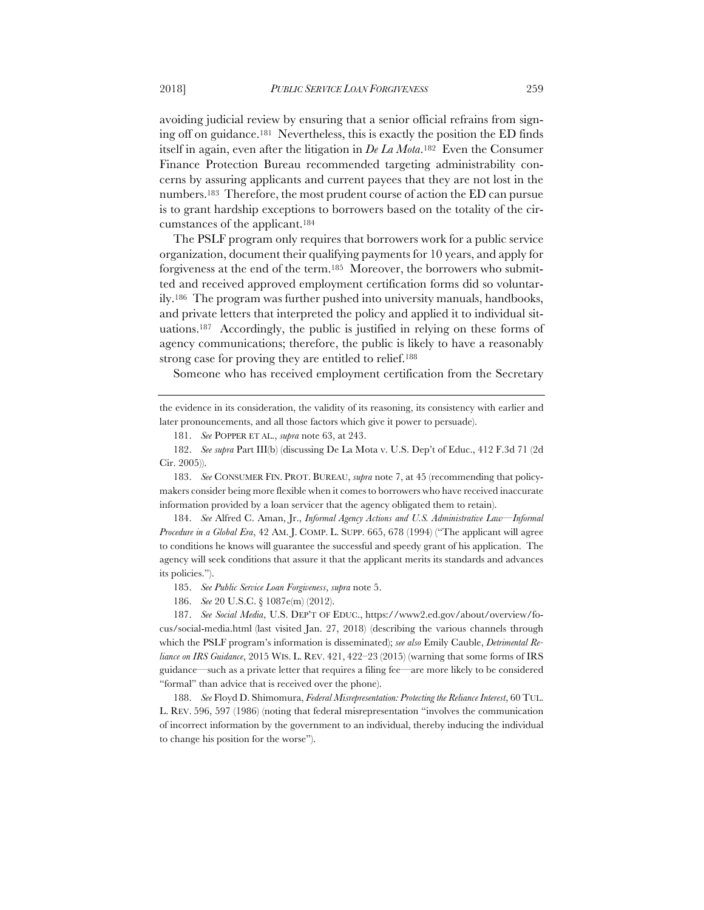avoiding judicial review by ensuring that a senior official refrains from signing off on guidance.181 Nevertheless, this is exactly the position the ED finds itself in again, even after the litigation in *De La Mota*.182 Even the Consumer Finance Protection Bureau recommended targeting administrability concerns by assuring applicants and current payees that they are not lost in the numbers.183 Therefore, the most prudent course of action the ED can pursue is to grant hardship exceptions to borrowers based on the totality of the circumstances of the applicant.184

The PSLF program only requires that borrowers work for a public service organization, document their qualifying payments for 10 years, and apply for forgiveness at the end of the term.185 Moreover, the borrowers who submitted and received approved employment certification forms did so voluntarily.186 The program was further pushed into university manuals, handbooks, and private letters that interpreted the policy and applied it to individual situations.187 Accordingly, the public is justified in relying on these forms of agency communications; therefore, the public is likely to have a reasonably strong case for proving they are entitled to relief.188

Someone who has received employment certification from the Secretary

181. *See* POPPER ET AL., *supra* note 63, at 243.

182. *See supra* Part III(b) (discussing De La Mota v. U.S. Dep't of Educ., 412 F.3d 71 (2d Cir. 2005)).

183. *See* CONSUMER FIN. PROT. BUREAU, *supra* note 7, at 45 (recommending that policymakers consider being more flexible when it comes to borrowers who have received inaccurate information provided by a loan servicer that the agency obligated them to retain).

184. *See* Alfred C. Aman, Jr., *Informal Agency Actions and U.S. Administrative Law—Informal Procedure in a Global Era*, 42 AM. J. COMP. L. SUPP. 665, 678 (1994) ("The applicant will agree to conditions he knows will guarantee the successful and speedy grant of his application. The agency will seek conditions that assure it that the applicant merits its standards and advances its policies.").

185. *See Public Service Loan Forgiveness*, *supra* note 5.

186. *See* 20 U.S.C. § 1087e(m) (2012).

187. *See Social Media*, U.S. DEP'T OF EDUC., https://www2.ed.gov/about/overview/focus/social-media.html (last visited Jan. 27, 2018) (describing the various channels through which the PSLF program's information is disseminated); *see also* Emily Cauble, *Detrimental Reliance on IRS Guidance*, 2015 WIS. L. REV. 421, 422–23 (2015) (warning that some forms of IRS guidance—such as a private letter that requires a filing fee—are more likely to be considered "formal" than advice that is received over the phone).

188. *See* Floyd D. Shimomura, *Federal Misrepresentation: Protecting the Reliance Interest*, 60 TUL. L. REV. 596, 597 (1986) (noting that federal misrepresentation "involves the communication of incorrect information by the government to an individual, thereby inducing the individual to change his position for the worse").

the evidence in its consideration, the validity of its reasoning, its consistency with earlier and later pronouncements, and all those factors which give it power to persuade).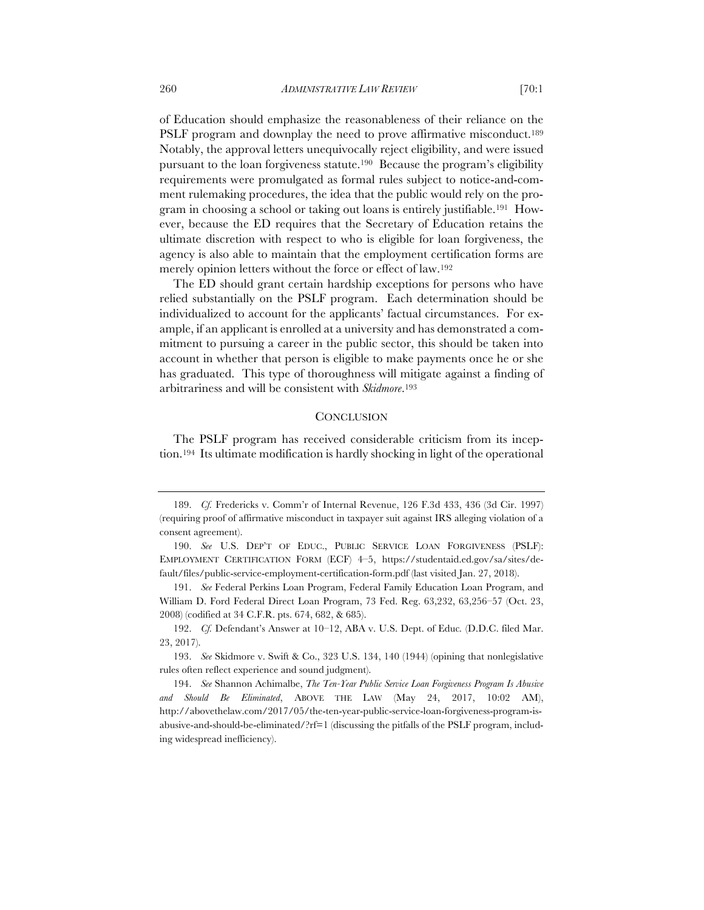of Education should emphasize the reasonableness of their reliance on the PSLF program and downplay the need to prove affirmative misconduct.<sup>189</sup> Notably, the approval letters unequivocally reject eligibility, and were issued pursuant to the loan forgiveness statute.190 Because the program's eligibility requirements were promulgated as formal rules subject to notice-and-comment rulemaking procedures, the idea that the public would rely on the program in choosing a school or taking out loans is entirely justifiable.191 However, because the ED requires that the Secretary of Education retains the ultimate discretion with respect to who is eligible for loan forgiveness, the agency is also able to maintain that the employment certification forms are merely opinion letters without the force or effect of law.192

The ED should grant certain hardship exceptions for persons who have relied substantially on the PSLF program. Each determination should be individualized to account for the applicants' factual circumstances. For example, if an applicant is enrolled at a university and has demonstrated a commitment to pursuing a career in the public sector, this should be taken into account in whether that person is eligible to make payments once he or she has graduated. This type of thoroughness will mitigate against a finding of arbitrariness and will be consistent with *Skidmore*.193

# **CONCLUSION**

The PSLF program has received considerable criticism from its inception.194 Its ultimate modification is hardly shocking in light of the operational

192. *Cf.* Defendant's Answer at 10–12, ABA v. U.S. Dept. of Educ*.* (D.D.C. filed Mar. 23, 2017).

193. *See* Skidmore v. Swift & Co., 323 U.S. 134, 140 (1944) (opining that nonlegislative rules often reflect experience and sound judgment).

194. *See* Shannon Achimalbe, *The Ten-Year Public Service Loan Forgiveness Program Is Abusive and Should Be Eliminated*, ABOVE THE LAW (May 24, 2017, 10:02 AM), http://abovethelaw.com/2017/05/the-ten-year-public-service-loan-forgiveness-program-isabusive-and-should-be-eliminated/?rf=1 (discussing the pitfalls of the PSLF program, including widespread inefficiency).

<sup>189.</sup> *Cf.* Fredericks v. Comm'r of Internal Revenue, 126 F.3d 433, 436 (3d Cir. 1997) (requiring proof of affirmative misconduct in taxpayer suit against IRS alleging violation of a consent agreement).

<sup>190.</sup> *See* U.S. DEP'T OF EDUC., PUBLIC SERVICE LOAN FORGIVENESS (PSLF): EMPLOYMENT CERTIFICATION FORM (ECF) 4–5, https://studentaid.ed.gov/sa/sites/default/files/public-service-employment-certification-form.pdf (last visited Jan. 27, 2018).

<sup>191.</sup> *See* Federal Perkins Loan Program, Federal Family Education Loan Program, and William D. Ford Federal Direct Loan Program, 73 Fed. Reg. 63,232, 63,256–57 (Oct. 23, 2008) (codified at 34 C.F.R. pts. 674, 682, & 685).